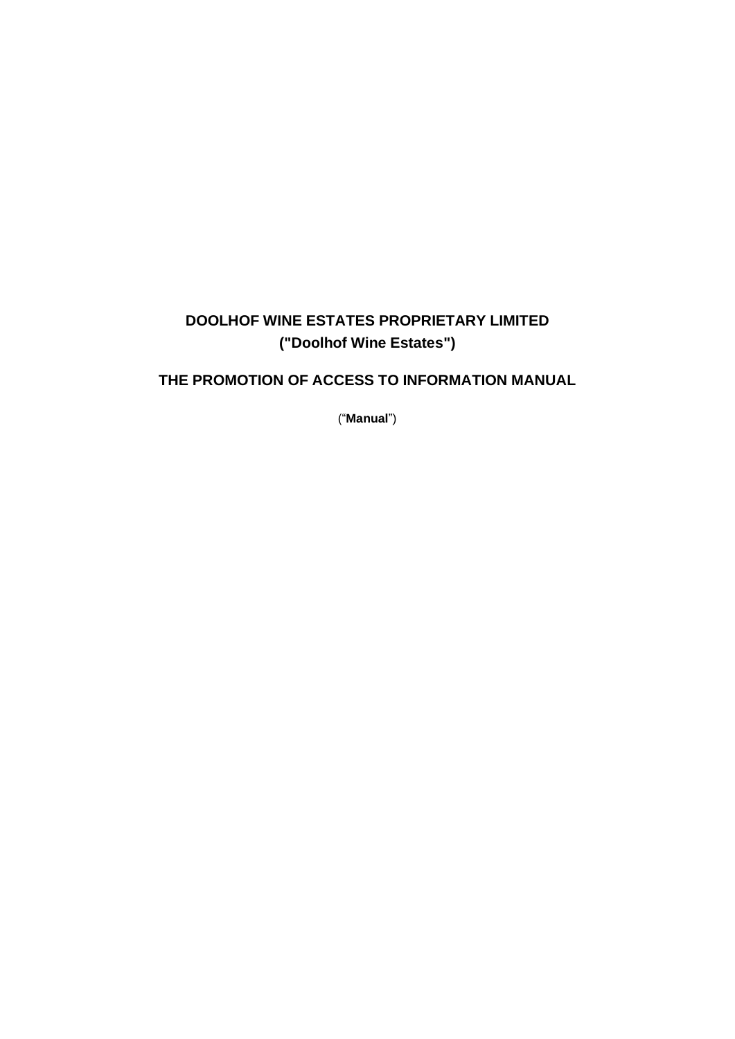# **DOOLHOF WINE ESTATES PROPRIETARY LIMITED ("Doolhof Wine Estates")**

# **THE PROMOTION OF ACCESS TO INFORMATION MANUAL**

("**Manual**")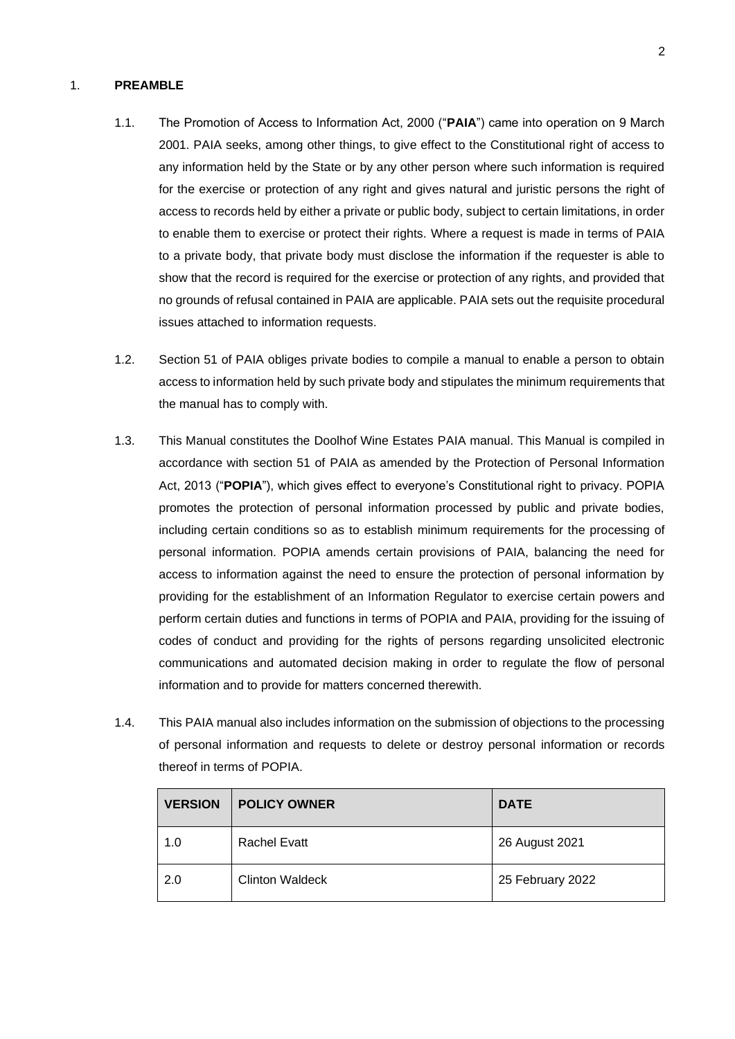## 1. **PREAMBLE**

- 1.1. The Promotion of Access to Information Act, 2000 ("**PAIA**") came into operation on 9 March 2001. PAIA seeks, among other things, to give effect to the Constitutional right of access to any information held by the State or by any other person where such information is required for the exercise or protection of any right and gives natural and juristic persons the right of access to records held by either a private or public body, subject to certain limitations, in order to enable them to exercise or protect their rights. Where a request is made in terms of PAIA to a private body, that private body must disclose the information if the requester is able to show that the record is required for the exercise or protection of any rights, and provided that no grounds of refusal contained in PAIA are applicable. PAIA sets out the requisite procedural issues attached to information requests.
- 1.2. Section 51 of PAIA obliges private bodies to compile a manual to enable a person to obtain access to information held by such private body and stipulates the minimum requirements that the manual has to comply with.
- 1.3. This Manual constitutes the Doolhof Wine Estates PAIA manual. This Manual is compiled in accordance with section 51 of PAIA as amended by the Protection of Personal Information Act, 2013 ("**POPIA**"), which gives effect to everyone's Constitutional right to privacy. POPIA promotes the protection of personal information processed by public and private bodies, including certain conditions so as to establish minimum requirements for the processing of personal information. POPIA amends certain provisions of PAIA, balancing the need for access to information against the need to ensure the protection of personal information by providing for the establishment of an Information Regulator to exercise certain powers and perform certain duties and functions in terms of POPIA and PAIA, providing for the issuing of codes of conduct and providing for the rights of persons regarding unsolicited electronic communications and automated decision making in order to regulate the flow of personal information and to provide for matters concerned therewith.
- 1.4. This PAIA manual also includes information on the submission of objections to the processing of personal information and requests to delete or destroy personal information or records thereof in terms of POPIA.

| <b>VERSION</b> | <b>POLICY OWNER</b>    | <b>DATE</b>      |
|----------------|------------------------|------------------|
| 1.0            | Rachel Evatt           | 26 August 2021   |
| 2.0            | <b>Clinton Waldeck</b> | 25 February 2022 |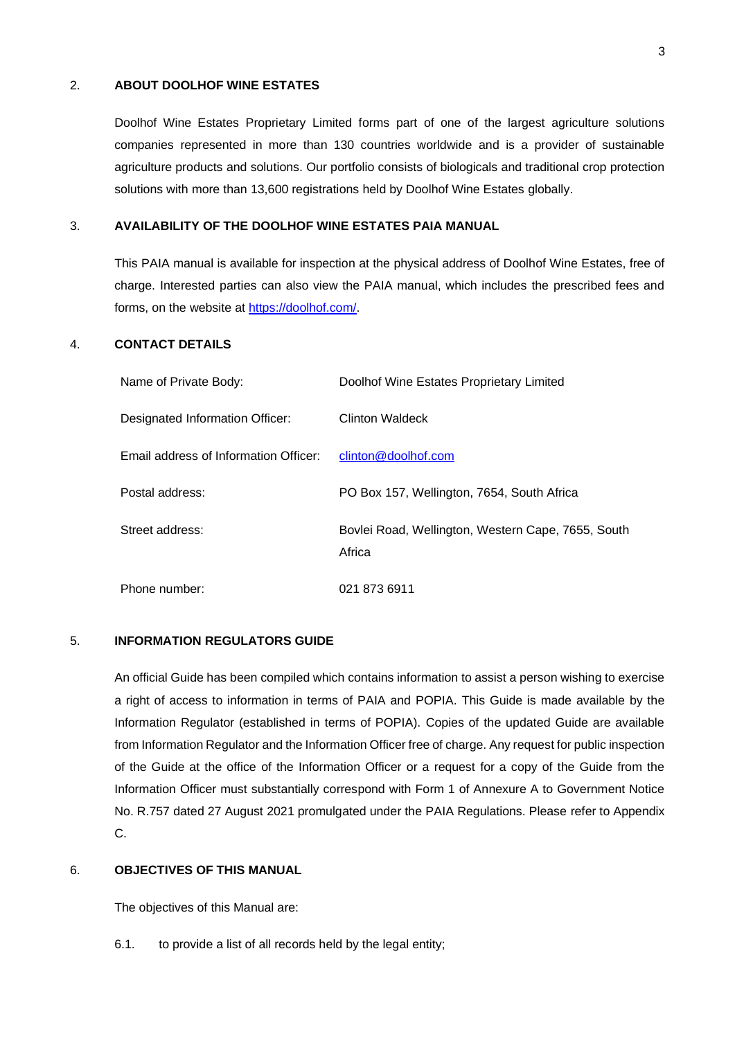## 2. **ABOUT DOOLHOF WINE ESTATES**

Doolhof Wine Estates Proprietary Limited forms part of one of the largest agriculture solutions companies represented in more than 130 countries worldwide and is a provider of sustainable agriculture products and solutions. Our portfolio consists of biologicals and traditional crop protection solutions with more than 13,600 registrations held by Doolhof Wine Estates globally.

#### <span id="page-2-0"></span>3. **AVAILABILITY OF THE DOOLHOF WINE ESTATES PAIA MANUAL**

This PAIA manual is available for inspection at the physical address of Doolhof Wine Estates, free of charge. Interested parties can also view the PAIA manual, which includes the prescribed fees and forms, on the website at [https://doolhof.com/.](https://doolhof.com/)

## 4. **CONTACT DETAILS**

| Name of Private Body:                 | Doolhof Wine Estates Proprietary Limited                     |
|---------------------------------------|--------------------------------------------------------------|
| Designated Information Officer:       | <b>Clinton Waldeck</b>                                       |
| Email address of Information Officer: | clinton@doolhof.com                                          |
| Postal address:                       | PO Box 157, Wellington, 7654, South Africa                   |
| Street address:                       | Bovlei Road, Wellington, Western Cape, 7655, South<br>Africa |
| Phone number:                         | 021 873 6911                                                 |

## 5. **INFORMATION REGULATORS GUIDE**

An official Guide has been compiled which contains information to assist a person wishing to exercise a right of access to information in terms of PAIA and POPIA. This Guide is made available by the Information Regulator (established in terms of POPIA). Copies of the updated Guide are available from Information Regulator and the Information Officer free of charge. Any request for public inspection of the Guide at the office of the Information Officer or a request for a copy of the Guide from the Information Officer must substantially correspond with Form 1 of Annexure A to Government Notice No. R.757 dated 27 August 2021 promulgated under the PAIA Regulations. Please refer to Appendix C.

## 6. **OBJECTIVES OF THIS MANUAL**

The objectives of this Manual are:

6.1. to provide a list of all records held by the legal entity;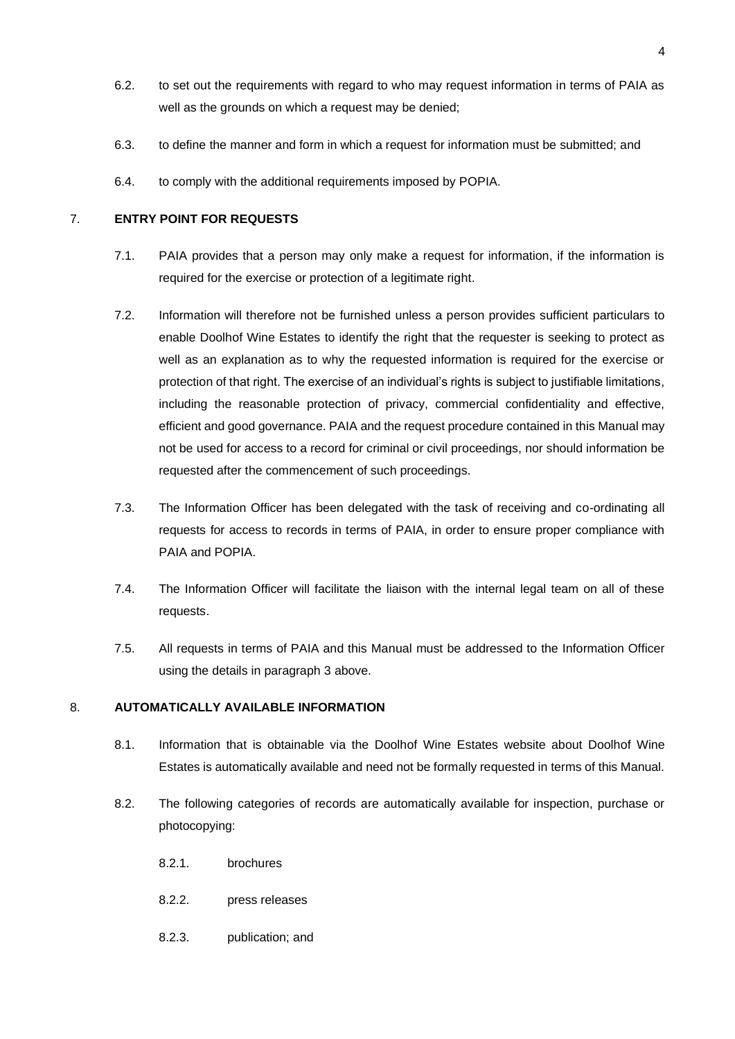- 6.2. to set out the requirements with regard to who may request information in terms of PAIA as well as the grounds on which a request may be denied;
- 6.3. to define the manner and form in which a request for information must be submitted; and
- 6.4. to comply with the additional requirements imposed by POPIA.

## 7. **ENTRY POINT FOR REQUESTS**

- 7.1. PAIA provides that a person may only make a request for information, if the information is required for the exercise or protection of a legitimate right.
- 7.2. Information will therefore not be furnished unless a person provides sufficient particulars to enable Doolhof Wine Estates to identify the right that the requester is seeking to protect as well as an explanation as to why the requested information is required for the exercise or protection of that right. The exercise of an individual's rights is subject to justifiable limitations, including the reasonable protection of privacy, commercial confidentiality and effective, efficient and good governance. PAIA and the request procedure contained in this Manual may not be used for access to a record for criminal or civil proceedings, nor should information be requested after the commencement of such proceedings.
- 7.3. The Information Officer has been delegated with the task of receiving and co-ordinating all requests for access to records in terms of PAIA, in order to ensure proper compliance with PAIA and POPIA.
- 7.4. The Information Officer will facilitate the liaison with the internal legal team on all of these requests.
- 7.5. All requests in terms of PAIA and this Manual must be addressed to the Information Officer using the details in paragraph [3](#page-2-0) above.

## 8. **AUTOMATICALLY AVAILABLE INFORMATION**

- 8.1. Information that is obtainable via the Doolhof Wine Estates website about Doolhof Wine Estates is automatically available and need not be formally requested in terms of this Manual.
- 8.2. The following categories of records are automatically available for inspection, purchase or photocopying:
	- 8.2.1. brochures
	- 8.2.2. press releases
	- 8.2.3. publication; and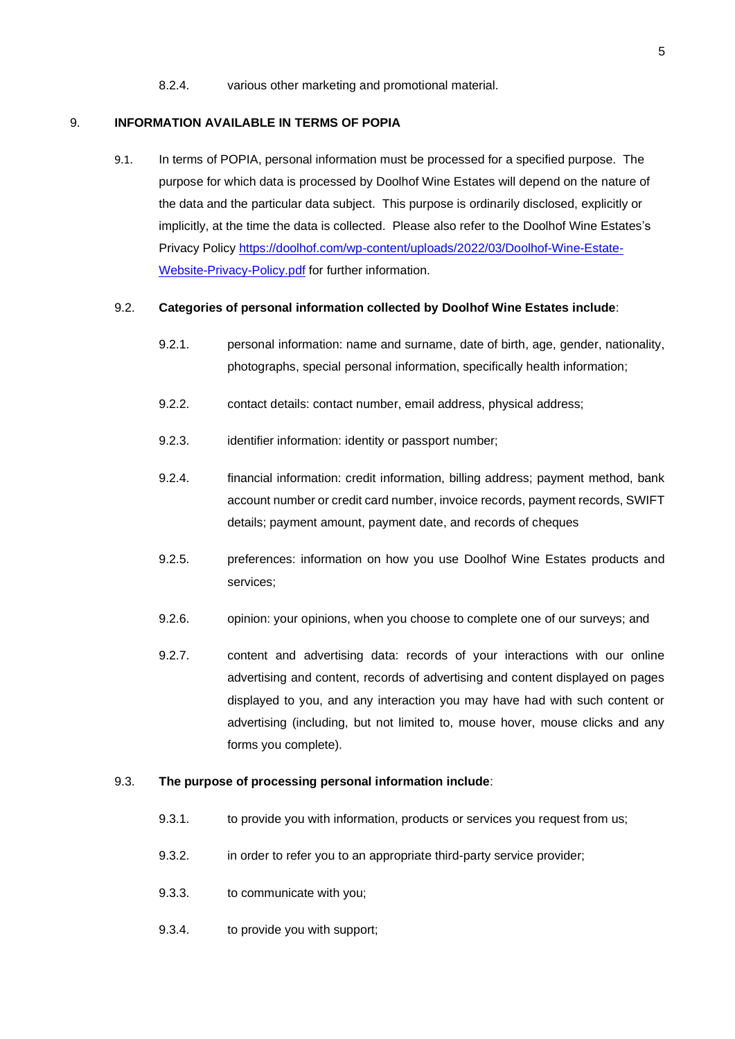8.2.4. various other marketing and promotional material.

#### 9. **INFORMATION AVAILABLE IN TERMS OF POPIA**

9.1. In terms of POPIA, personal information must be processed for a specified purpose. The purpose for which data is processed by Doolhof Wine Estates will depend on the nature of the data and the particular data subject. This purpose is ordinarily disclosed, explicitly or implicitly, at the time the data is collected. Please also refer to the Doolhof Wine Estates's Privacy Policy [https://doolhof.com/wp-content/uploads/2022/03/Doolhof-Wine-Estate-](https://doolhof.com/wp-content/uploads/2022/03/Doolhof-Wine-Estate-Website-Privacy-Policy.pdf)[Website-Privacy-Policy.pdf](https://doolhof.com/wp-content/uploads/2022/03/Doolhof-Wine-Estate-Website-Privacy-Policy.pdf) for further information.

#### 9.2. **Categories of personal information collected by Doolhof Wine Estates include**:

- 9.2.1. personal information: name and surname, date of birth, age, gender, nationality, photographs, special personal information, specifically health information;
- 9.2.2. contact details: contact number, email address, physical address;
- 9.2.3. identifier information: identity or passport number:
- 9.2.4. financial information: credit information, billing address; payment method, bank account number or credit card number, invoice records, payment records, SWIFT details; payment amount, payment date, and records of cheques
- 9.2.5. preferences: information on how you use Doolhof Wine Estates products and services;
- 9.2.6. opinion: your opinions, when you choose to complete one of our surveys; and
- 9.2.7. content and advertising data: records of your interactions with our online advertising and content, records of advertising and content displayed on pages displayed to you, and any interaction you may have had with such content or advertising (including, but not limited to, mouse hover, mouse clicks and any forms you complete).

## 9.3. **The purpose of processing personal information include**:

- 9.3.1. to provide you with information, products or services you request from us;
- 9.3.2. in order to refer you to an appropriate third-party service provider;
- 9.3.3. to communicate with you;
- 9.3.4. to provide you with support;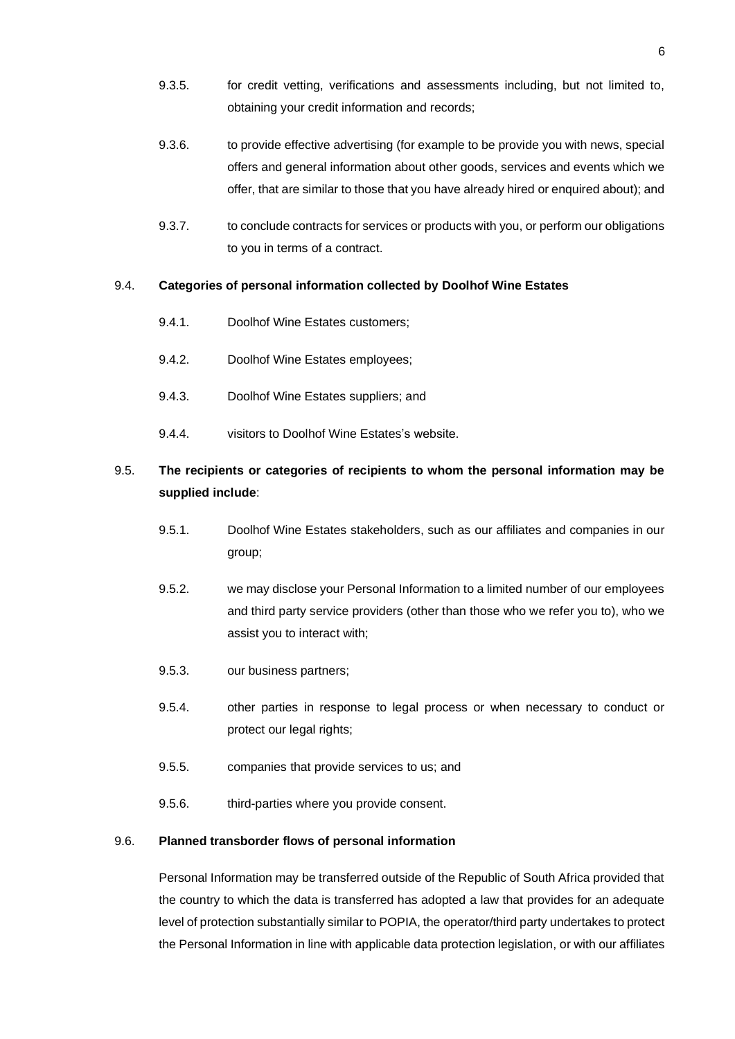- 9.3.5. for credit vetting, verifications and assessments including, but not limited to, obtaining your credit information and records;
- 9.3.6. to provide effective advertising (for example to be provide you with news, special offers and general information about other goods, services and events which we offer, that are similar to those that you have already hired or enquired about); and
- 9.3.7. to conclude contracts for services or products with you, or perform our obligations to you in terms of a contract.

## 9.4. **Categories of personal information collected by Doolhof Wine Estates**

- 9.4.1. Doolhof Wine Estates customers;
- 9.4.2. Doolhof Wine Estates employees;
- 9.4.3. Doolhof Wine Estates suppliers; and
- 9.4.4. visitors to Doolhof Wine Estates's website.

# 9.5. **The recipients or categories of recipients to whom the personal information may be supplied include**:

- 9.5.1. Doolhof Wine Estates stakeholders, such as our affiliates and companies in our group;
- 9.5.2. we may disclose your Personal Information to a limited number of our employees and third party service providers (other than those who we refer you to), who we assist you to interact with;
- 9.5.3. our business partners;
- 9.5.4. other parties in response to legal process or when necessary to conduct or protect our legal rights;
- 9.5.5. companies that provide services to us; and
- 9.5.6. third-parties where you provide consent.

#### 9.6. **Planned transborder flows of personal information**

Personal Information may be transferred outside of the Republic of South Africa provided that the country to which the data is transferred has adopted a law that provides for an adequate level of protection substantially similar to POPIA, the operator/third party undertakes to protect the Personal Information in line with applicable data protection legislation, or with our affiliates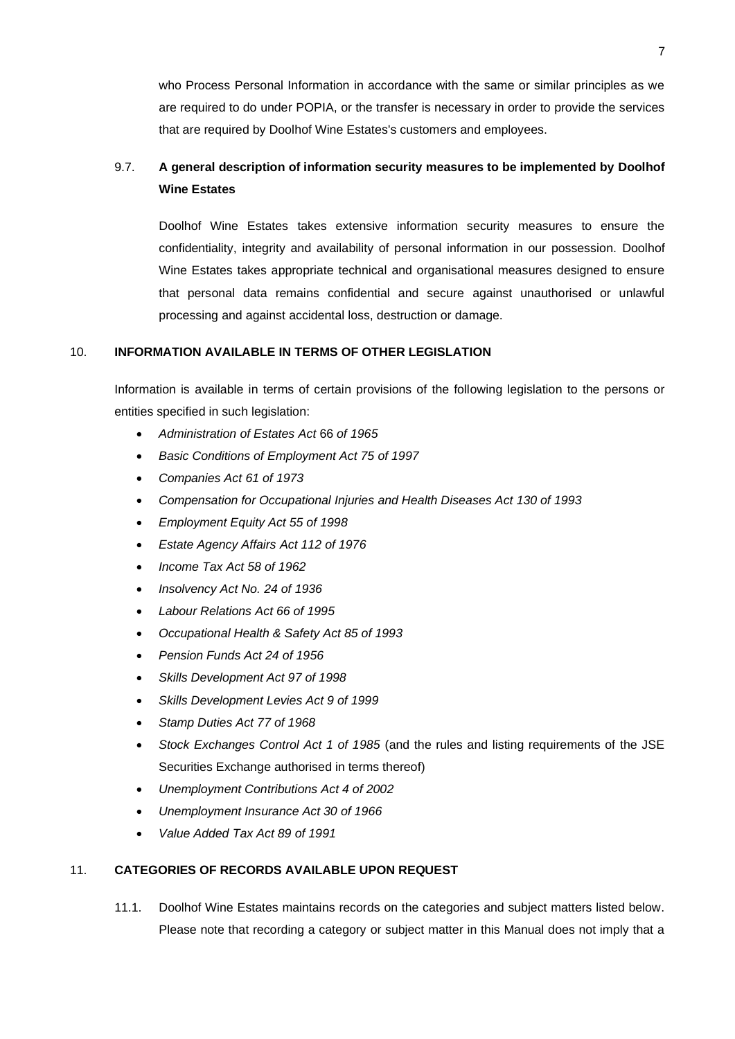who Process Personal Information in accordance with the same or similar principles as we are required to do under POPIA, or the transfer is necessary in order to provide the services that are required by Doolhof Wine Estates's customers and employees.

# 9.7. **A general description of information security measures to be implemented by Doolhof Wine Estates**

Doolhof Wine Estates takes extensive information security measures to ensure the confidentiality, integrity and availability of personal information in our possession. Doolhof Wine Estates takes appropriate technical and organisational measures designed to ensure that personal data remains confidential and secure against unauthorised or unlawful processing and against accidental loss, destruction or damage.

## 10. **INFORMATION AVAILABLE IN TERMS OF OTHER LEGISLATION**

Information is available in terms of certain provisions of the following legislation to the persons or entities specified in such legislation:

- *Administration of Estates Act* 66 *of 1965*
- *Basic Conditions of Employment Act 75 of 1997*
- *Companies Act 61 of 1973*
- *Compensation for Occupational Injuries and Health Diseases Act 130 of 1993*
- *Employment Equity Act 55 of 1998*
- *Estate Agency Affairs Act 112 of 1976*
- *Income Tax Act 58 of 1962*
- *Insolvency Act No. 24 of 1936*
- *Labour Relations Act 66 of 1995*
- *Occupational Health & Safety Act 85 of 1993*
- *Pension Funds Act 24 of 1956*
- *Skills Development Act 97 of 1998*
- *Skills Development Levies Act 9 of 1999*
- *Stamp Duties Act 77 of 1968*
- *Stock Exchanges Control Act 1 of 1985* (and the rules and listing requirements of the JSE Securities Exchange authorised in terms thereof)
- *Unemployment Contributions Act 4 of 2002*
- *Unemployment Insurance Act 30 of 1966*
- *Value Added Tax Act 89 of 1991*

## 11. **CATEGORIES OF RECORDS AVAILABLE UPON REQUEST**

11.1. Doolhof Wine Estates maintains records on the categories and subject matters listed below. Please note that recording a category or subject matter in this Manual does not imply that a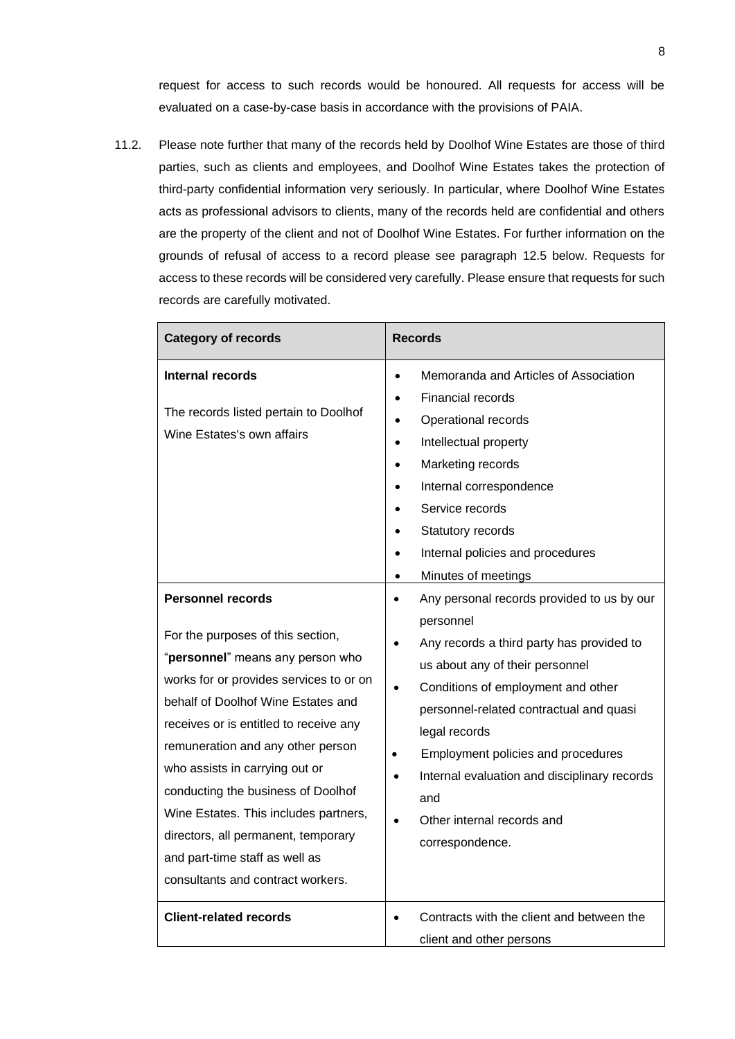request for access to such records would be honoured. All requests for access will be evaluated on a case-by-case basis in accordance with the provisions of PAIA.

11.2. Please note further that many of the records held by Doolhof Wine Estates are those of third parties, such as clients and employees, and Doolhof Wine Estates takes the protection of third-party confidential information very seriously. In particular, where Doolhof Wine Estates acts as professional advisors to clients, many of the records held are confidential and others are the property of the client and not of Doolhof Wine Estates. For further information on the grounds of refusal of access to a record please see paragraph [12.5](#page-10-0) below. Requests for access to these records will be considered very carefully. Please ensure that requests for such records are carefully motivated.

| <b>Category of records</b>                                                                                                                                                                                                                                                                                                                                                                                                                                                                       | <b>Records</b>                                                                                                                                                                                                                                                                                                                                                                          |  |
|--------------------------------------------------------------------------------------------------------------------------------------------------------------------------------------------------------------------------------------------------------------------------------------------------------------------------------------------------------------------------------------------------------------------------------------------------------------------------------------------------|-----------------------------------------------------------------------------------------------------------------------------------------------------------------------------------------------------------------------------------------------------------------------------------------------------------------------------------------------------------------------------------------|--|
| <b>Internal records</b><br>The records listed pertain to Doolhof<br>Wine Estates's own affairs                                                                                                                                                                                                                                                                                                                                                                                                   | Memoranda and Articles of Association<br><b>Financial records</b><br>Operational records<br>Intellectual property<br>Marketing records<br>Internal correspondence<br>Service records<br>Statutory records<br>Internal policies and procedures<br>Minutes of meetings<br>$\bullet$                                                                                                       |  |
| <b>Personnel records</b><br>For the purposes of this section,<br>"personnel" means any person who<br>works for or provides services to or on<br>behalf of Doolhof Wine Estates and<br>receives or is entitled to receive any<br>remuneration and any other person<br>who assists in carrying out or<br>conducting the business of Doolhof<br>Wine Estates. This includes partners,<br>directors, all permanent, temporary<br>and part-time staff as well as<br>consultants and contract workers. | Any personal records provided to us by our<br>personnel<br>Any records a third party has provided to<br>us about any of their personnel<br>Conditions of employment and other<br>personnel-related contractual and quasi<br>legal records<br>Employment policies and procedures<br>Internal evaluation and disciplinary records<br>and<br>Other internal records and<br>correspondence. |  |
| <b>Client-related records</b>                                                                                                                                                                                                                                                                                                                                                                                                                                                                    | Contracts with the client and between the<br>client and other persons                                                                                                                                                                                                                                                                                                                   |  |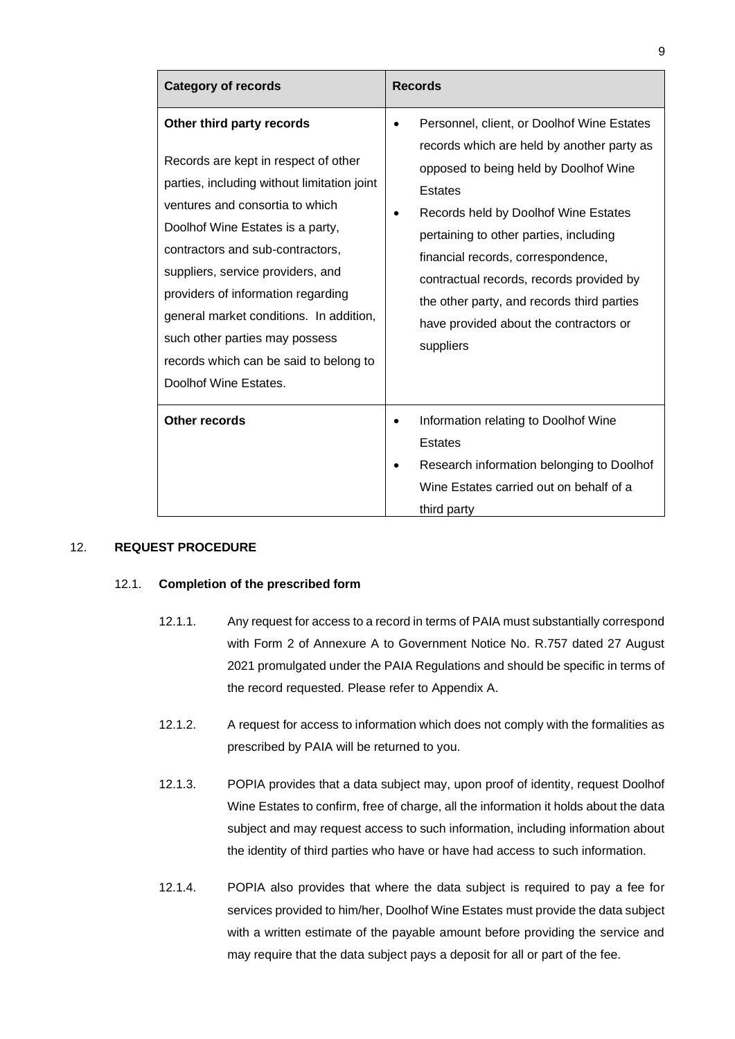| <b>Category of records</b>                                                                                                                                                                                                                                                                                                                                                                                                                             | <b>Records</b>                                                                                                                                                                                                                                                                                                                                                                                                        |  |
|--------------------------------------------------------------------------------------------------------------------------------------------------------------------------------------------------------------------------------------------------------------------------------------------------------------------------------------------------------------------------------------------------------------------------------------------------------|-----------------------------------------------------------------------------------------------------------------------------------------------------------------------------------------------------------------------------------------------------------------------------------------------------------------------------------------------------------------------------------------------------------------------|--|
| Other third party records<br>Records are kept in respect of other<br>parties, including without limitation joint<br>ventures and consortia to which<br>Doolhof Wine Estates is a party,<br>contractors and sub-contractors,<br>suppliers, service providers, and<br>providers of information regarding<br>general market conditions. In addition,<br>such other parties may possess<br>records which can be said to belong to<br>Doolhof Wine Estates. | Personnel, client, or Doolhof Wine Estates<br>records which are held by another party as<br>opposed to being held by Doolhof Wine<br>Estates<br>Records held by Doolhof Wine Estates<br>pertaining to other parties, including<br>financial records, correspondence,<br>contractual records, records provided by<br>the other party, and records third parties<br>have provided about the contractors or<br>suppliers |  |
| Other records                                                                                                                                                                                                                                                                                                                                                                                                                                          | Information relating to Doolhof Wine<br><b>Estates</b><br>Research information belonging to Doolhof<br>Wine Estates carried out on behalf of a<br>third party                                                                                                                                                                                                                                                         |  |

## 12. **REQUEST PROCEDURE**

#### 12.1. **Completion of the prescribed form**

- 12.1.1. Any request for access to a record in terms of PAIA must substantially correspond with Form 2 of Annexure A to Government Notice No. R.757 dated 27 August 2021 promulgated under the PAIA Regulations and should be specific in terms of the record requested. Please refer to Appendix A.
- 12.1.2. A request for access to information which does not comply with the formalities as prescribed by PAIA will be returned to you.
- 12.1.3. POPIA provides that a data subject may, upon proof of identity, request Doolhof Wine Estates to confirm, free of charge, all the information it holds about the data subject and may request access to such information, including information about the identity of third parties who have or have had access to such information.
- 12.1.4. POPIA also provides that where the data subject is required to pay a fee for services provided to him/her, Doolhof Wine Estates must provide the data subject with a written estimate of the payable amount before providing the service and may require that the data subject pays a deposit for all or part of the fee.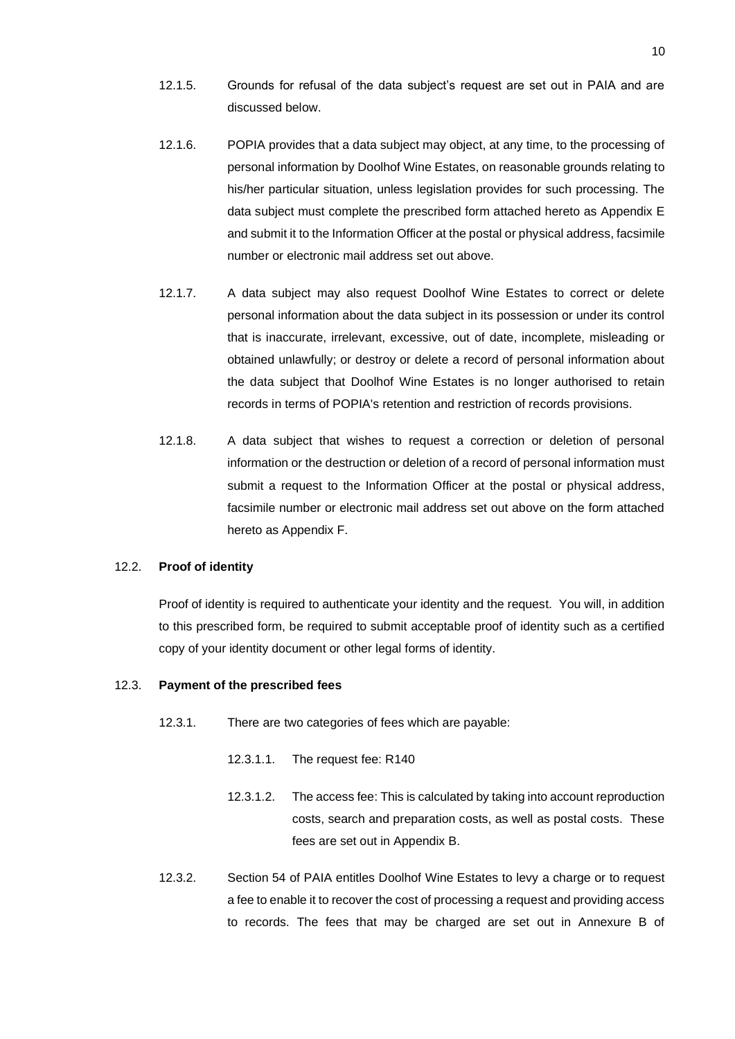- 12.1.5. Grounds for refusal of the data subject's request are set out in PAIA and are discussed below.
- 12.1.6. POPIA provides that a data subject may object, at any time, to the processing of personal information by Doolhof Wine Estates, on reasonable grounds relating to his/her particular situation, unless legislation provides for such processing. The data subject must complete the prescribed form attached hereto as Appendix E and submit it to the Information Officer at the postal or physical address, facsimile number or electronic mail address set out above.
- 12.1.7. A data subject may also request Doolhof Wine Estates to correct or delete personal information about the data subject in its possession or under its control that is inaccurate, irrelevant, excessive, out of date, incomplete, misleading or obtained unlawfully; or destroy or delete a record of personal information about the data subject that Doolhof Wine Estates is no longer authorised to retain records in terms of POPIA's retention and restriction of records provisions.
- 12.1.8. A data subject that wishes to request a correction or deletion of personal information or the destruction or deletion of a record of personal information must submit a request to the Information Officer at the postal or physical address, facsimile number or electronic mail address set out above on the form attached hereto as Appendix F.

#### 12.2. **Proof of identity**

Proof of identity is required to authenticate your identity and the request. You will, in addition to this prescribed form, be required to submit acceptable proof of identity such as a certified copy of your identity document or other legal forms of identity.

#### 12.3. **Payment of the prescribed fees**

- 12.3.1. There are two categories of fees which are payable:
	- 12.3.1.1. The request fee: R140
	- 12.3.1.2. The access fee: This is calculated by taking into account reproduction costs, search and preparation costs, as well as postal costs. These fees are set out in Appendix B.
- 12.3.2. Section 54 of PAIA entitles Doolhof Wine Estates to levy a charge or to request a fee to enable it to recover the cost of processing a request and providing access to records. The fees that may be charged are set out in Annexure B of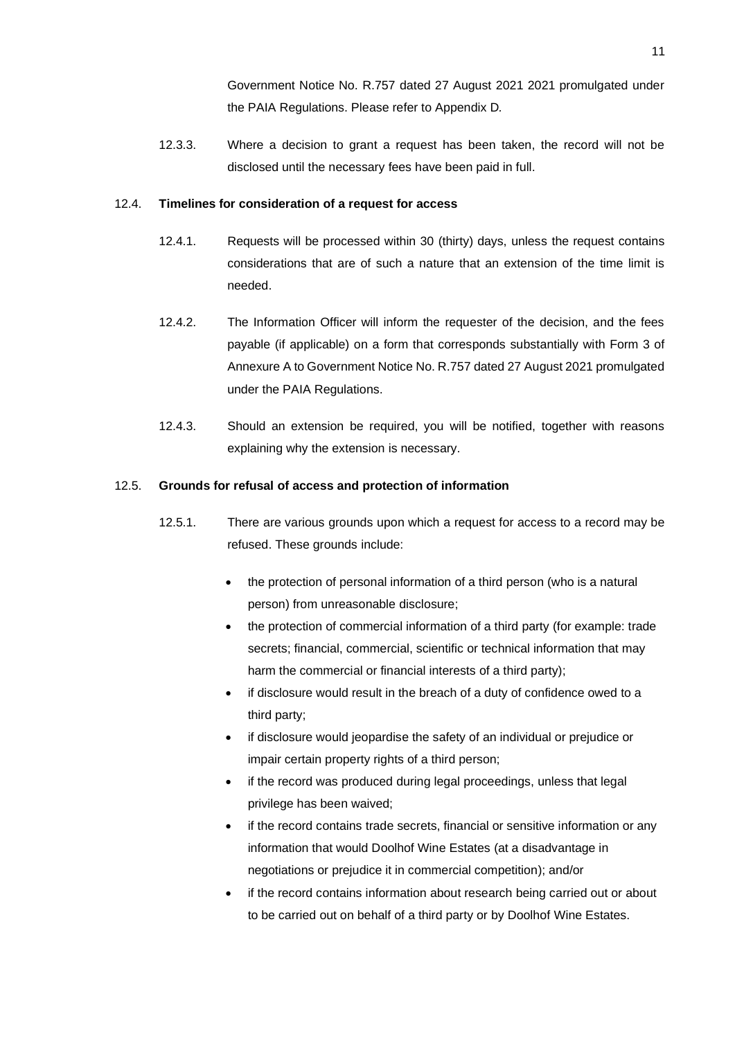Government Notice No. R.757 dated 27 August 2021 2021 promulgated under the PAIA Regulations. Please refer to Appendix D*.* 

12.3.3. Where a decision to grant a request has been taken, the record will not be disclosed until the necessary fees have been paid in full.

#### 12.4. **Timelines for consideration of a request for access**

- 12.4.1. Requests will be processed within 30 (thirty) days, unless the request contains considerations that are of such a nature that an extension of the time limit is needed.
- 12.4.2. The Information Officer will inform the requester of the decision, and the fees payable (if applicable) on a form that corresponds substantially with Form 3 of Annexure A to Government Notice No. R.757 dated 27 August 2021 promulgated under the PAIA Regulations.
- 12.4.3. Should an extension be required, you will be notified, together with reasons explaining why the extension is necessary.

#### <span id="page-10-0"></span>12.5. **Grounds for refusal of access and protection of information**

- 12.5.1. There are various grounds upon which a request for access to a record may be refused. These grounds include:
	- the protection of personal information of a third person (who is a natural person) from unreasonable disclosure;
	- the protection of commercial information of a third party (for example: trade secrets; financial, commercial, scientific or technical information that may harm the commercial or financial interests of a third party);
	- if disclosure would result in the breach of a duty of confidence owed to a third party;
	- if disclosure would jeopardise the safety of an individual or prejudice or impair certain property rights of a third person;
	- if the record was produced during legal proceedings, unless that legal privilege has been waived;
	- if the record contains trade secrets, financial or sensitive information or any information that would Doolhof Wine Estates (at a disadvantage in negotiations or prejudice it in commercial competition); and/or
	- if the record contains information about research being carried out or about to be carried out on behalf of a third party or by Doolhof Wine Estates.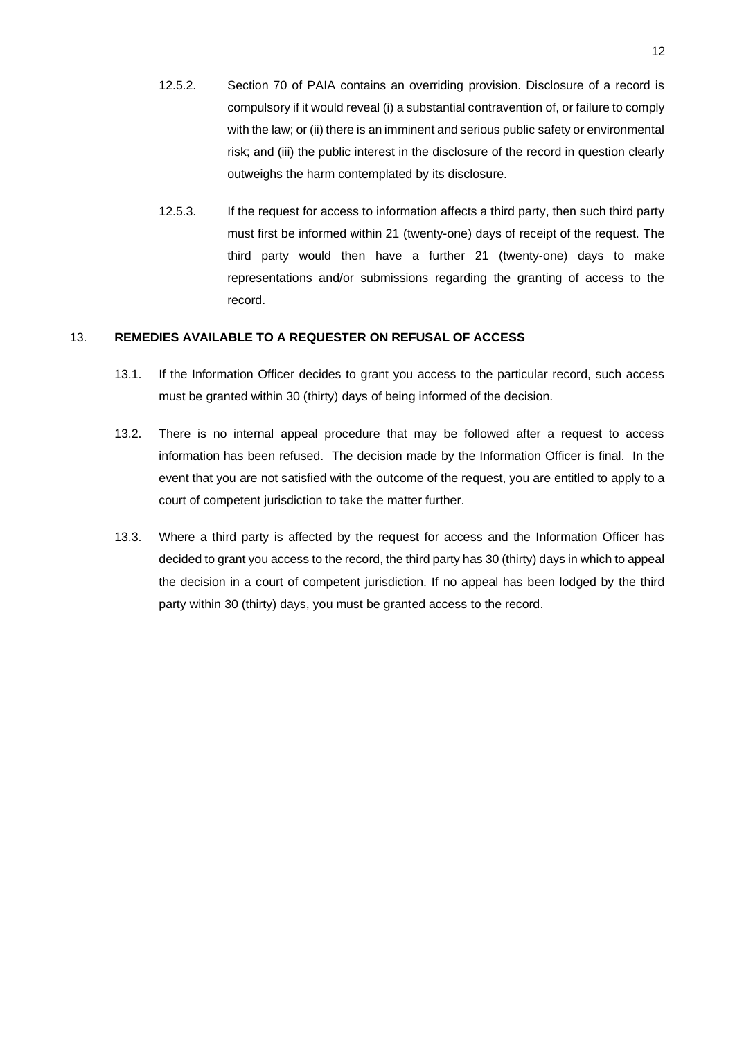- 12.5.2. Section 70 of PAIA contains an overriding provision. Disclosure of a record is compulsory if it would reveal (i) a substantial contravention of, or failure to comply with the law; or (ii) there is an imminent and serious public safety or environmental risk; and (iii) the public interest in the disclosure of the record in question clearly outweighs the harm contemplated by its disclosure.
- 12.5.3. If the request for access to information affects a third party, then such third party must first be informed within 21 (twenty-one) days of receipt of the request. The third party would then have a further 21 (twenty-one) days to make representations and/or submissions regarding the granting of access to the record.

## 13. **REMEDIES AVAILABLE TO A REQUESTER ON REFUSAL OF ACCESS**

- 13.1. If the Information Officer decides to grant you access to the particular record, such access must be granted within 30 (thirty) days of being informed of the decision.
- 13.2. There is no internal appeal procedure that may be followed after a request to access information has been refused. The decision made by the Information Officer is final. In the event that you are not satisfied with the outcome of the request, you are entitled to apply to a court of competent jurisdiction to take the matter further.
- 13.3. Where a third party is affected by the request for access and the Information Officer has decided to grant you access to the record, the third party has 30 (thirty) days in which to appeal the decision in a court of competent jurisdiction. If no appeal has been lodged by the third party within 30 (thirty) days, you must be granted access to the record.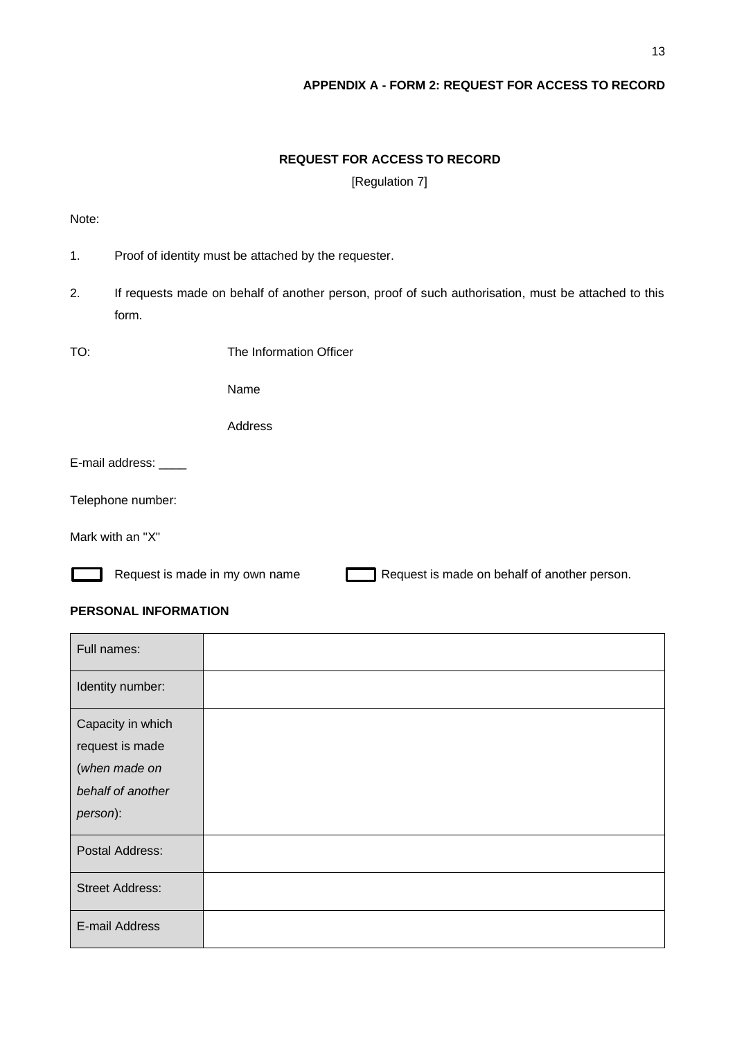## **APPENDIX A - FORM 2: REQUEST FOR ACCESS TO RECORD**

## **REQUEST FOR ACCESS TO RECORD**

[Regulation 7]

Note:

- 1. Proof of identity must be attached by the requester.
- 2. If requests made on behalf of another person, proof of such authorisation, must be attached to this form.
- TO: The Information Officer

Name

Address

E-mail address:

Telephone number:

Mark with an "X"

Request is made in my own name Request is made on behalf of another person.

## **PERSONAL INFORMATION**

| Full names:                                                                            |  |
|----------------------------------------------------------------------------------------|--|
| Identity number:                                                                       |  |
| Capacity in which<br>request is made<br>(when made on<br>behalf of another<br>person): |  |
| Postal Address:                                                                        |  |
| <b>Street Address:</b>                                                                 |  |
| E-mail Address                                                                         |  |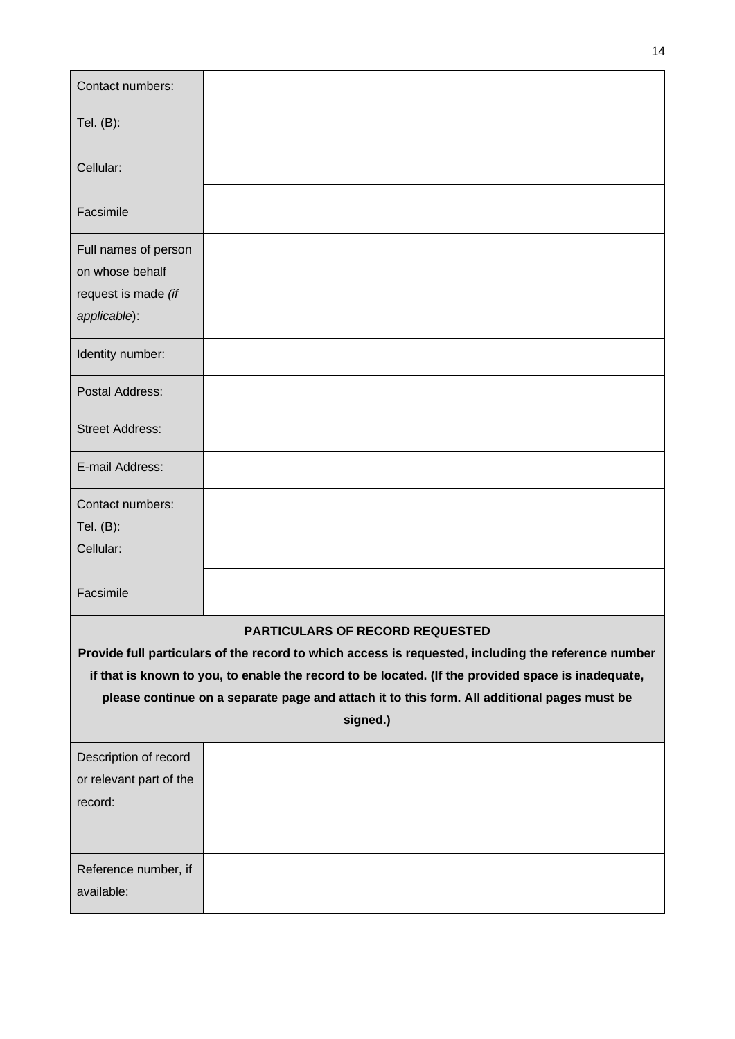| Contact numbers:                                                                                   |                                                                                                     |  |
|----------------------------------------------------------------------------------------------------|-----------------------------------------------------------------------------------------------------|--|
| Tel. (B):                                                                                          |                                                                                                     |  |
|                                                                                                    |                                                                                                     |  |
| Cellular:                                                                                          |                                                                                                     |  |
| Facsimile                                                                                          |                                                                                                     |  |
| Full names of person                                                                               |                                                                                                     |  |
| on whose behalf                                                                                    |                                                                                                     |  |
| request is made (if                                                                                |                                                                                                     |  |
| applicable):                                                                                       |                                                                                                     |  |
| Identity number:                                                                                   |                                                                                                     |  |
| Postal Address:                                                                                    |                                                                                                     |  |
| <b>Street Address:</b>                                                                             |                                                                                                     |  |
| E-mail Address:                                                                                    |                                                                                                     |  |
| Contact numbers:                                                                                   |                                                                                                     |  |
| Tel. (B):                                                                                          |                                                                                                     |  |
| Cellular:                                                                                          |                                                                                                     |  |
| Facsimile                                                                                          |                                                                                                     |  |
|                                                                                                    | PARTICULARS OF RECORD REQUESTED                                                                     |  |
|                                                                                                    | Provide full particulars of the record to which access is requested, including the reference number |  |
| if that is known to you, to enable the record to be located. (If the provided space is inadequate, |                                                                                                     |  |
| please continue on a separate page and attach it to this form. All additional pages must be        |                                                                                                     |  |
|                                                                                                    | signed.)                                                                                            |  |
| Description of record                                                                              |                                                                                                     |  |
| or relevant part of the                                                                            |                                                                                                     |  |
| record:                                                                                            |                                                                                                     |  |
|                                                                                                    |                                                                                                     |  |
| Reference number, if                                                                               |                                                                                                     |  |
| available:                                                                                         |                                                                                                     |  |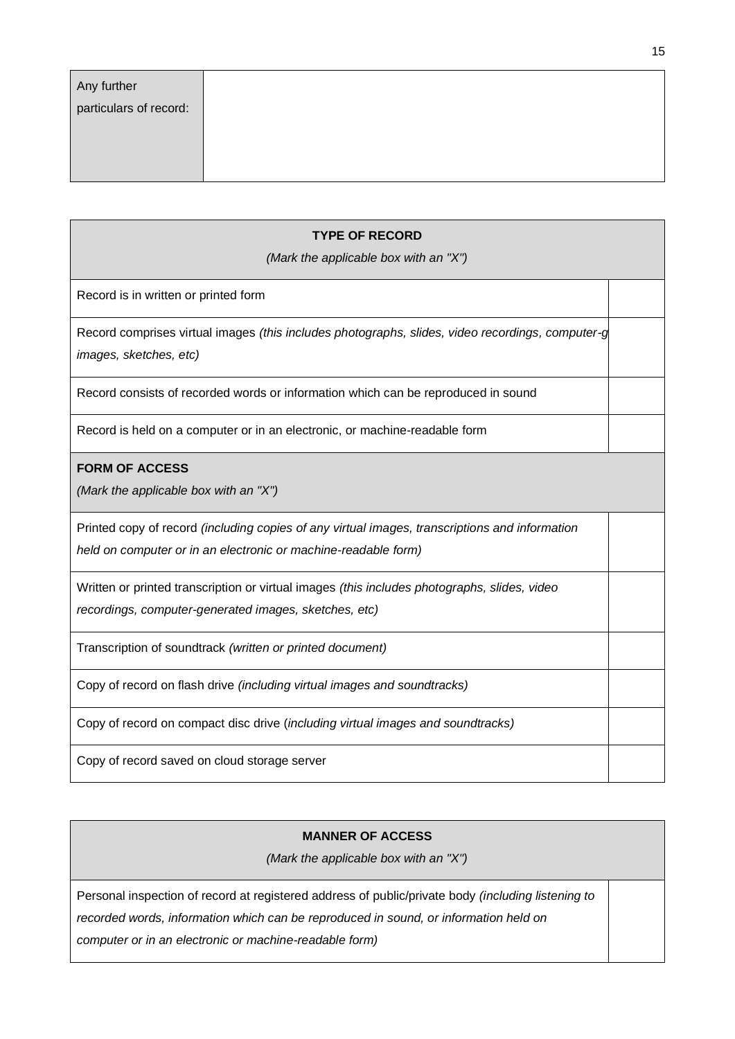| Any further            |  |
|------------------------|--|
| particulars of record: |  |
|                        |  |
|                        |  |
|                        |  |

| <b>TYPE OF RECORD</b>                                                                                                      |  |  |
|----------------------------------------------------------------------------------------------------------------------------|--|--|
| (Mark the applicable box with an "X")                                                                                      |  |  |
| Record is in written or printed form                                                                                       |  |  |
| Record comprises virtual images (this includes photographs, slides, video recordings, computer-g<br>images, sketches, etc) |  |  |
| Record consists of recorded words or information which can be reproduced in sound                                          |  |  |
| Record is held on a computer or in an electronic, or machine-readable form                                                 |  |  |
| <b>FORM OF ACCESS</b><br>(Mark the applicable box with an "X")                                                             |  |  |
|                                                                                                                            |  |  |
| Printed copy of record (including copies of any virtual images, transcriptions and information                             |  |  |
| held on computer or in an electronic or machine-readable form)                                                             |  |  |
| Written or printed transcription or virtual images (this includes photographs, slides, video                               |  |  |
| recordings, computer-generated images, sketches, etc)                                                                      |  |  |
| Transcription of soundtrack (written or printed document)                                                                  |  |  |
| Copy of record on flash drive (including virtual images and soundtracks)                                                   |  |  |
| Copy of record on compact disc drive (including virtual images and soundtracks)                                            |  |  |
| Copy of record saved on cloud storage server                                                                               |  |  |

## **MANNER OF ACCESS**

*(Mark the applicable box with an "X")*

Personal inspection of record at registered address of public/private body *(including listening to recorded words, information which can be reproduced in sound, or information held on computer or in an electronic or machine-readable form)*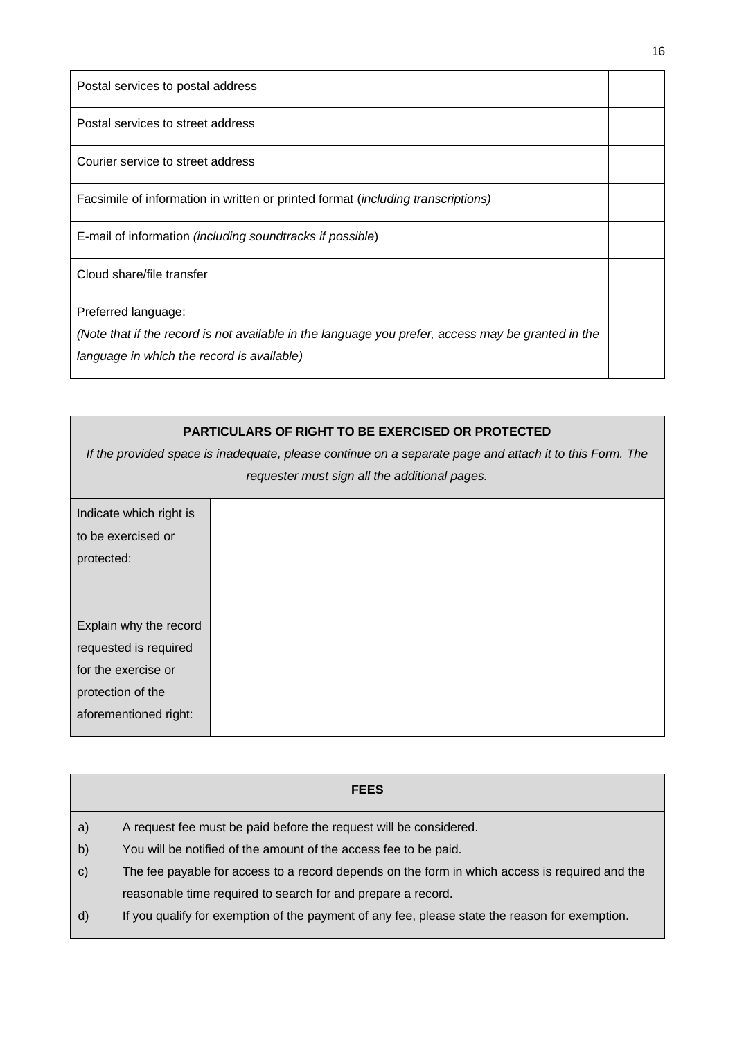| Postal services to postal address                                                                                                                                       |  |
|-------------------------------------------------------------------------------------------------------------------------------------------------------------------------|--|
| Postal services to street address                                                                                                                                       |  |
| Courier service to street address                                                                                                                                       |  |
| Facsimile of information in written or printed format (including transcriptions)                                                                                        |  |
| E-mail of information (including soundtracks if possible)                                                                                                               |  |
| Cloud share/file transfer                                                                                                                                               |  |
| Preferred language:<br>(Note that if the record is not available in the language you prefer, access may be granted in the<br>language in which the record is available) |  |

# **PARTICULARS OF RIGHT TO BE EXERCISED OR PROTECTED** *If the provided space is inadequate, please continue on a separate page and attach it to this Form. The requester must sign all the additional pages.* Indicate which right is to be exercised or protected: Explain why the record requested is required for the exercise or protection of the aforementioned right:

|              | <b>FEES</b>                                                                                    |
|--------------|------------------------------------------------------------------------------------------------|
| a)           | A request fee must be paid before the request will be considered.                              |
| b)           | You will be notified of the amount of the access fee to be paid.                               |
| $\mathbf{C}$ | The fee payable for access to a record depends on the form in which access is required and the |
|              | reasonable time required to search for and prepare a record.                                   |
| d)           | If you qualify for exemption of the payment of any fee, please state the reason for exemption. |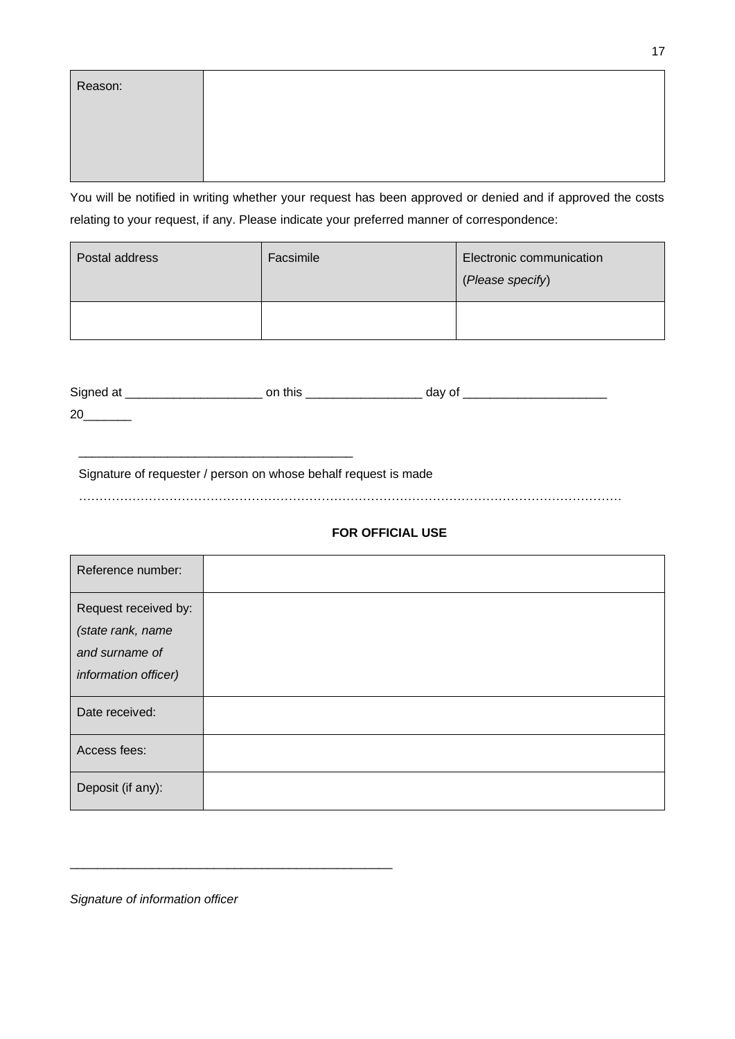| Reason: |  |
|---------|--|
|         |  |
|         |  |
|         |  |

You will be notified in writing whether your request has been approved or denied and if approved the costs relating to your request, if any. Please indicate your preferred manner of correspondence:

| Postal address | Facsimile | Electronic communication<br>(Please specify) |
|----------------|-----------|----------------------------------------------|
|                |           |                                              |

| Signed at | this<br>on | Jav |
|-----------|------------|-----|
| 20        |            |     |

Signature of requester / person on whose behalf request is made

\_\_\_\_\_\_\_\_\_\_\_\_\_\_\_\_\_\_\_\_\_\_\_\_\_\_\_\_\_\_\_\_\_\_\_\_\_\_\_\_

……………………………………………………………………………………………………………………

## **FOR OFFICIAL USE**

| Reference number:    |  |
|----------------------|--|
| Request received by: |  |
| (state rank, name    |  |
| and surname of       |  |
| information officer) |  |
| Date received:       |  |
| Access fees:         |  |
| Deposit (if any):    |  |

*Signature of information officer*

\_\_\_\_\_\_\_\_\_\_\_\_\_\_\_\_\_\_\_\_\_\_\_\_\_\_\_\_\_\_\_\_\_\_\_\_\_\_\_\_\_\_\_\_\_\_\_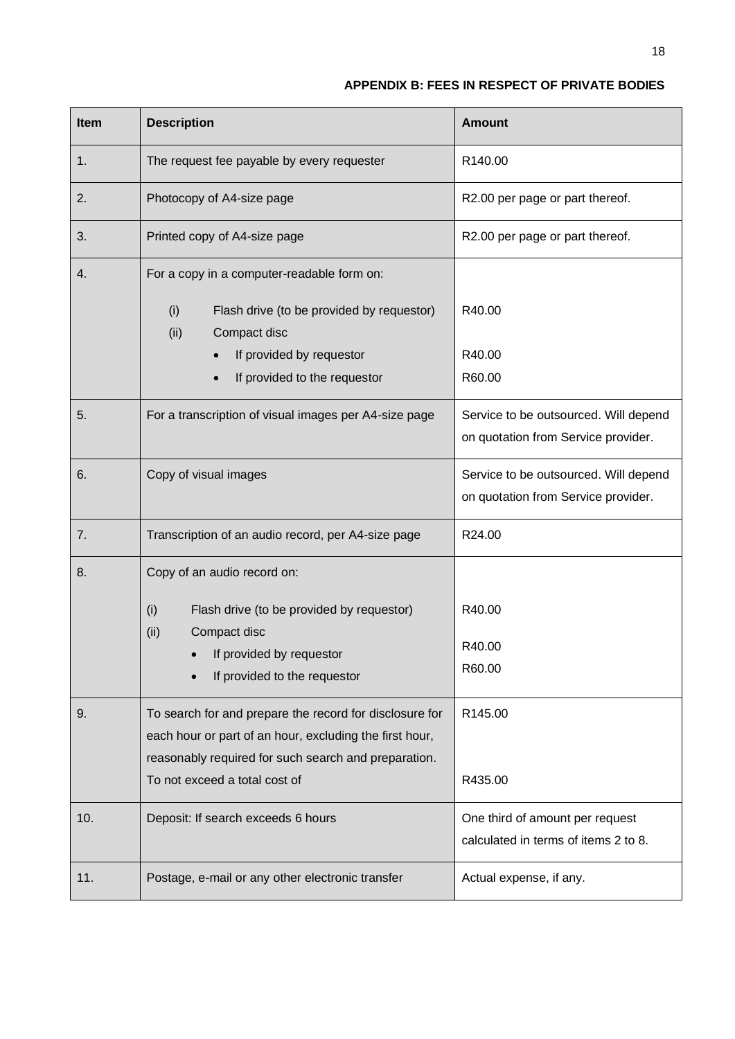## **APPENDIX B: FEES IN RESPECT OF PRIVATE BODIES**

| <b>Item</b> | <b>Description</b>                                                                                                                                                         | <b>Amount</b>                                                                |
|-------------|----------------------------------------------------------------------------------------------------------------------------------------------------------------------------|------------------------------------------------------------------------------|
| 1.          | The request fee payable by every requester                                                                                                                                 | R140.00                                                                      |
| 2.          | Photocopy of A4-size page                                                                                                                                                  | R2.00 per page or part thereof.                                              |
| 3.          | Printed copy of A4-size page                                                                                                                                               | R2.00 per page or part thereof.                                              |
| 4.          | For a copy in a computer-readable form on:                                                                                                                                 |                                                                              |
|             | (i)<br>Flash drive (to be provided by requestor)<br>(ii)<br>Compact disc                                                                                                   | R40.00                                                                       |
|             | If provided by requestor                                                                                                                                                   | R40.00                                                                       |
|             | If provided to the requestor                                                                                                                                               | R60.00                                                                       |
| 5.          | For a transcription of visual images per A4-size page                                                                                                                      | Service to be outsourced. Will depend<br>on quotation from Service provider. |
| 6.          | Copy of visual images                                                                                                                                                      | Service to be outsourced. Will depend<br>on quotation from Service provider. |
| 7.          | Transcription of an audio record, per A4-size page                                                                                                                         | R24.00                                                                       |
| 8.          | Copy of an audio record on:                                                                                                                                                |                                                                              |
|             | Flash drive (to be provided by requestor)<br>(i)                                                                                                                           | R40.00                                                                       |
|             | (ii)<br>Compact disc                                                                                                                                                       | R40.00                                                                       |
|             | If provided by requestor<br>If provided to the requestor                                                                                                                   | R60.00                                                                       |
| 9.          | To search for and prepare the record for disclosure for<br>each hour or part of an hour, excluding the first hour,<br>reasonably required for such search and preparation. | R145.00                                                                      |
|             | To not exceed a total cost of                                                                                                                                              | R435.00                                                                      |
| 10.         | Deposit: If search exceeds 6 hours                                                                                                                                         | One third of amount per request<br>calculated in terms of items 2 to 8.      |
| 11.         | Postage, e-mail or any other electronic transfer                                                                                                                           | Actual expense, if any.                                                      |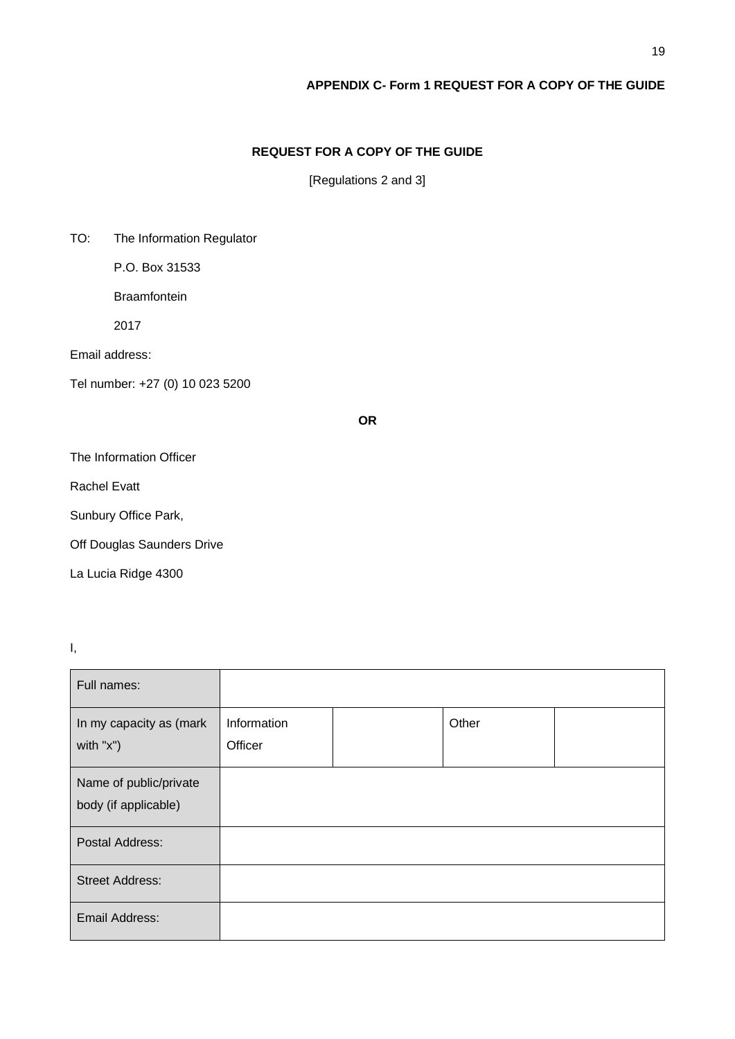## **APPENDIX C- Form 1 REQUEST FOR A COPY OF THE GUIDE**

## **REQUEST FOR A COPY OF THE GUIDE**

[Regulations 2 and 3]

TO: The Information Regulator

P.O. Box 31533

**Braamfontein** 

2017

Email address:

Tel number: +27 (0) 10 023 5200

**OR**

The Information Officer

Rachel Evatt

Sunbury Office Park,

Off Douglas Saunders Drive

La Lucia Ridge 4300

I,

| Full names:                                    |                        |       |  |
|------------------------------------------------|------------------------|-------|--|
| In my capacity as (mark<br>with $"x"$ )        | Information<br>Officer | Other |  |
| Name of public/private<br>body (if applicable) |                        |       |  |
| Postal Address:                                |                        |       |  |
| <b>Street Address:</b>                         |                        |       |  |
| Email Address:                                 |                        |       |  |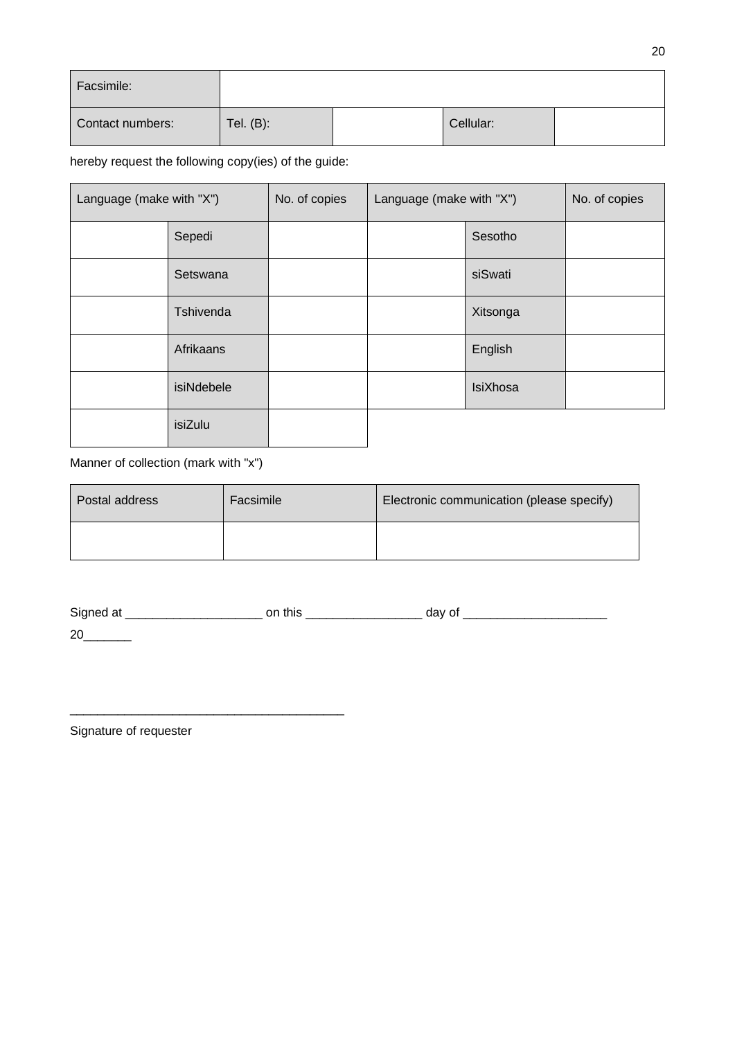| Facsimile:       |              |           |  |
|------------------|--------------|-----------|--|
| Contact numbers: | Tel. $(B)$ : | Cellular: |  |

hereby request the following copy(ies) of the guide:

| Language (make with "X") |            | No. of copies | Language (make with "X") |                 | No. of copies |
|--------------------------|------------|---------------|--------------------------|-----------------|---------------|
|                          | Sepedi     |               |                          | Sesotho         |               |
|                          | Setswana   |               |                          | siSwati         |               |
|                          | Tshivenda  |               |                          | Xitsonga        |               |
|                          | Afrikaans  |               |                          | English         |               |
|                          | isiNdebele |               |                          | <b>IsiXhosa</b> |               |
|                          | isiZulu    |               |                          |                 |               |

# Manner of collection (mark with "x")

| Postal address | Facsimile | Electronic communication (please specify) |
|----------------|-----------|-------------------------------------------|
|                |           |                                           |

| Signed at | this | day of |
|-----------|------|--------|
| 20        |      |        |

Signature of requester

\_\_\_\_\_\_\_\_\_\_\_\_\_\_\_\_\_\_\_\_\_\_\_\_\_\_\_\_\_\_\_\_\_\_\_\_\_\_\_\_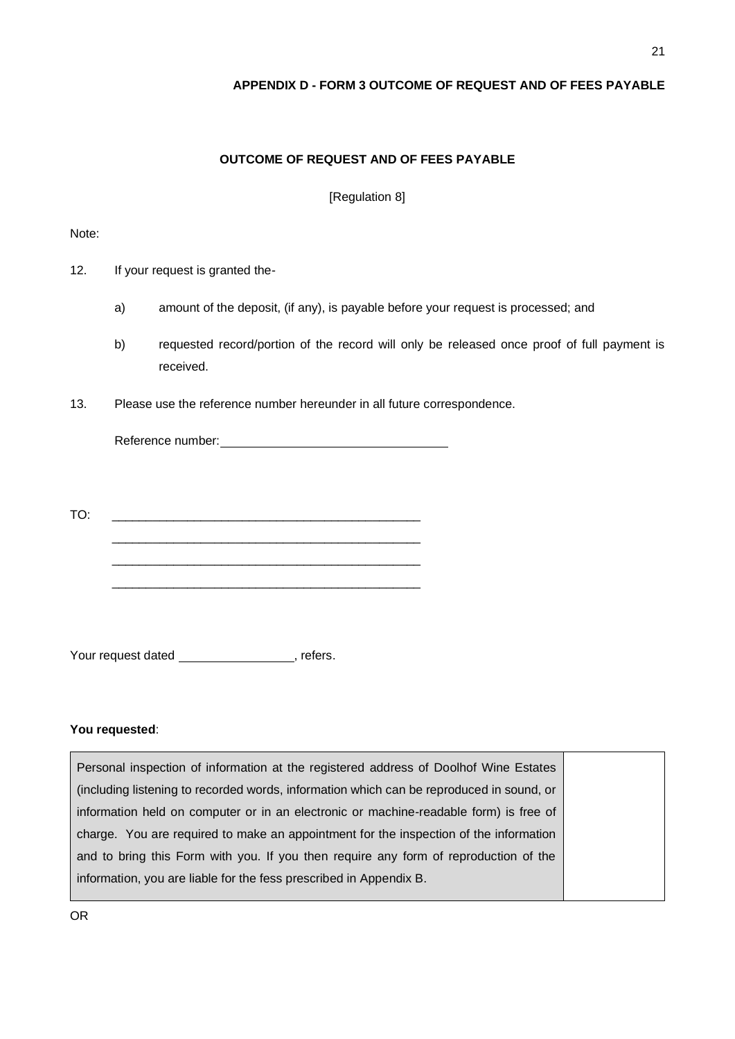## **APPENDIX D - FORM 3 OUTCOME OF REQUEST AND OF FEES PAYABLE**

## **OUTCOME OF REQUEST AND OF FEES PAYABLE**

[Regulation 8]

#### Note:

- 12. If your request is granted the
	- a) amount of the deposit, (if any), is payable before your request is processed; and
	- b) requested record/portion of the record will only be released once proof of full payment is received.
- 13. Please use the reference number hereunder in all future correspondence.

Reference number:<br>
Setterence number:<br>
Setterence number:

TO: \_\_\_\_\_\_\_\_\_\_\_\_\_\_\_\_\_\_\_\_\_\_\_\_\_\_\_\_\_\_\_\_\_\_\_\_\_\_\_\_\_\_\_\_\_ \_\_\_\_\_\_\_\_\_\_\_\_\_\_\_\_\_\_\_\_\_\_\_\_\_\_\_\_\_\_\_\_\_\_\_\_\_\_\_\_\_\_\_\_\_ \_\_\_\_\_\_\_\_\_\_\_\_\_\_\_\_\_\_\_\_\_\_\_\_\_\_\_\_\_\_\_\_\_\_\_\_\_\_\_\_\_\_\_\_\_ \_\_\_\_\_\_\_\_\_\_\_\_\_\_\_\_\_\_\_\_\_\_\_\_\_\_\_\_\_\_\_\_\_\_\_\_\_\_\_\_\_\_\_\_\_

Your request dated a refers.

## **You requested**:

Personal inspection of information at the registered address of Doolhof Wine Estates (including listening to recorded words, information which can be reproduced in sound, or information held on computer or in an electronic or machine-readable form) is free of charge. You are required to make an appointment for the inspection of the information and to bring this Form with you. If you then require any form of reproduction of the information, you are liable for the fess prescribed in Appendix B.

OR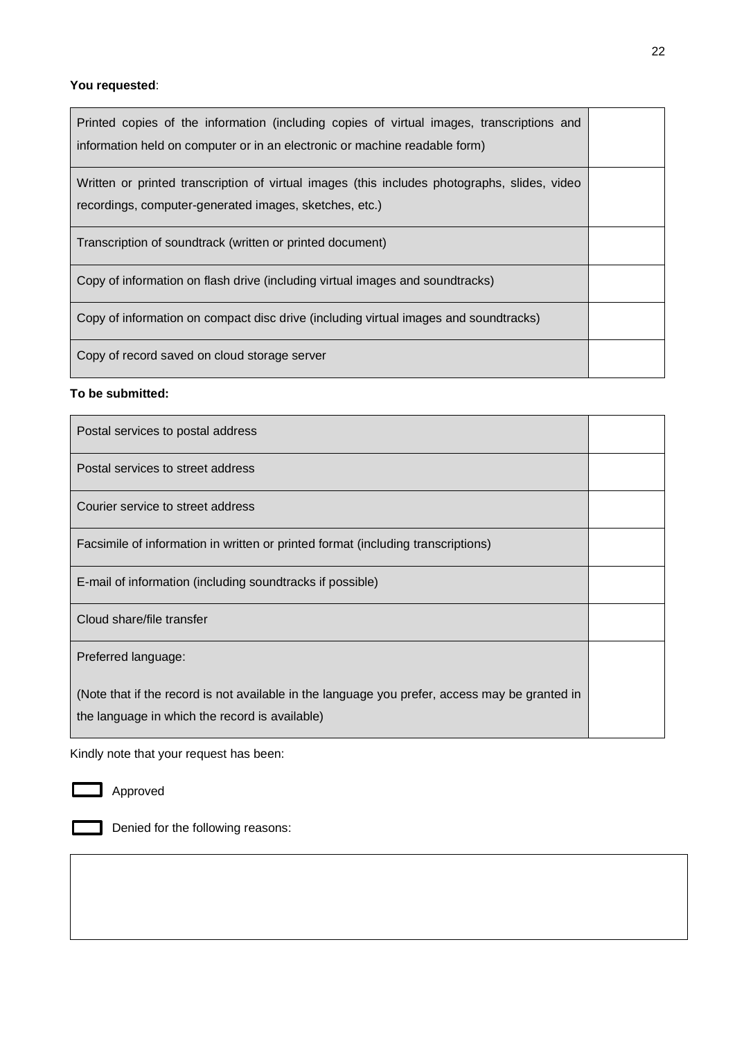## **You requested**:

| Printed copies of the information (including copies of virtual images, transcriptions and<br>information held on computer or in an electronic or machine readable form) |  |
|-------------------------------------------------------------------------------------------------------------------------------------------------------------------------|--|
| Written or printed transcription of virtual images (this includes photographs, slides, video<br>recordings, computer-generated images, sketches, etc.)                  |  |
| Transcription of soundtrack (written or printed document)                                                                                                               |  |
| Copy of information on flash drive (including virtual images and soundtracks)                                                                                           |  |
| Copy of information on compact disc drive (including virtual images and soundtracks)                                                                                    |  |
| Copy of record saved on cloud storage server                                                                                                                            |  |

## **To be submitted:**

| Postal services to postal address                                                                                                                |  |
|--------------------------------------------------------------------------------------------------------------------------------------------------|--|
| Postal services to street address                                                                                                                |  |
| Courier service to street address                                                                                                                |  |
| Facsimile of information in written or printed format (including transcriptions)                                                                 |  |
| E-mail of information (including soundtracks if possible)                                                                                        |  |
| Cloud share/file transfer                                                                                                                        |  |
| Preferred language:                                                                                                                              |  |
| (Note that if the record is not available in the language you prefer, access may be granted in<br>the language in which the record is available) |  |

Kindly note that your request has been:



Denied for the following reasons: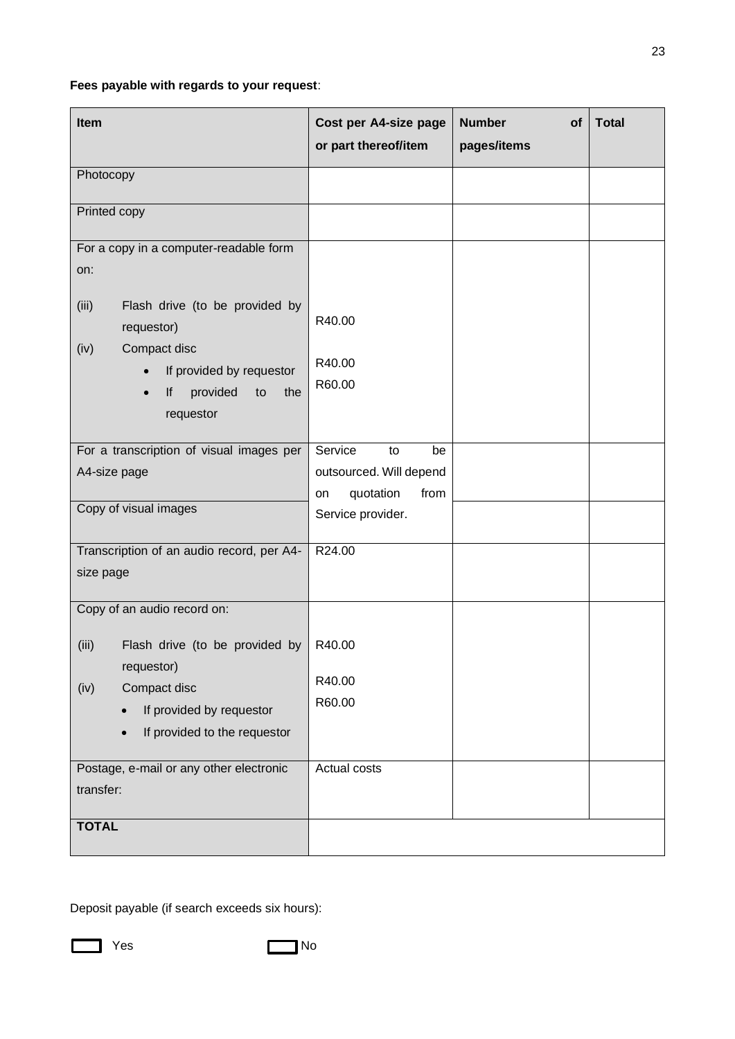# **Fees payable with regards to your request**:

| Item                                                                                     | Cost per A4-size page<br>or part thereof/item  | <b>Number</b><br>of<br>pages/items | <b>Total</b> |
|------------------------------------------------------------------------------------------|------------------------------------------------|------------------------------------|--------------|
| Photocopy                                                                                |                                                |                                    |              |
| Printed copy                                                                             |                                                |                                    |              |
| For a copy in a computer-readable form<br>on:<br>Flash drive (to be provided by<br>(iii) |                                                |                                    |              |
| requestor)<br>Compact disc<br>(iv)                                                       | R40.00                                         |                                    |              |
| If provided by requestor<br>provided<br>lf<br>to<br>the<br>requestor                     | R40.00<br>R60.00                               |                                    |              |
| For a transcription of visual images per<br>A4-size page                                 | Service<br>to<br>be<br>outsourced. Will depend |                                    |              |
| Copy of visual images                                                                    | quotation<br>from<br>on<br>Service provider.   |                                    |              |
| Transcription of an audio record, per A4-<br>size page                                   | R24.00                                         |                                    |              |
| Copy of an audio record on:                                                              |                                                |                                    |              |
| Flash drive (to be provided by<br>(iii)<br>requestor)                                    | R40.00                                         |                                    |              |
| Compact disc<br>(iv)<br>If provided by requestor<br>$\bullet$                            | R40.00<br>R60.00                               |                                    |              |
| If provided to the requestor<br>$\bullet$                                                |                                                |                                    |              |
| Postage, e-mail or any other electronic<br>transfer:                                     | Actual costs                                   |                                    |              |
| <b>TOTAL</b>                                                                             |                                                |                                    |              |

Deposit payable (if search exceeds six hours):

**No. 2018** Yes No. 2019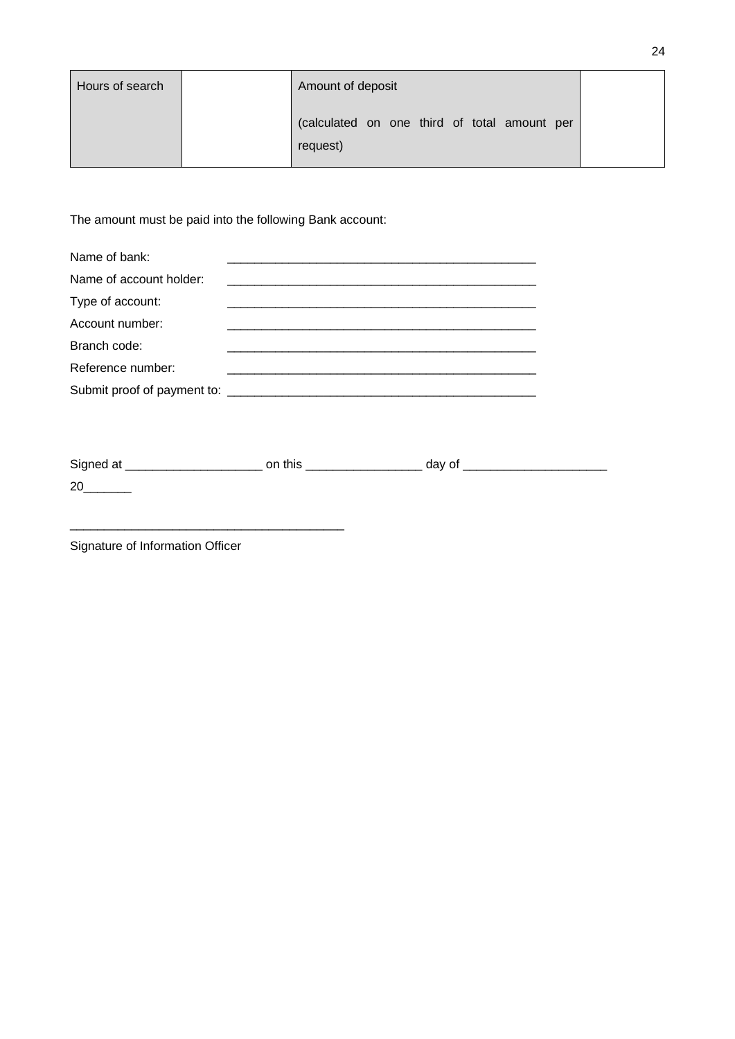| Hours of search | Amount of deposit                                        |  |
|-----------------|----------------------------------------------------------|--|
|                 | (calculated on one third of total amount per<br>request) |  |

The amount must be paid into the following Bank account:

| Name of bank:                         |  |  |  |
|---------------------------------------|--|--|--|
| Name of account holder:               |  |  |  |
| Type of account:                      |  |  |  |
| Account number:                       |  |  |  |
| Branch code:                          |  |  |  |
| Reference number:                     |  |  |  |
| Submit proof of payment to: _________ |  |  |  |

| Signed at | this | day of |
|-----------|------|--------|
| 20        |      |        |

Signature of Information Officer

\_\_\_\_\_\_\_\_\_\_\_\_\_\_\_\_\_\_\_\_\_\_\_\_\_\_\_\_\_\_\_\_\_\_\_\_\_\_\_\_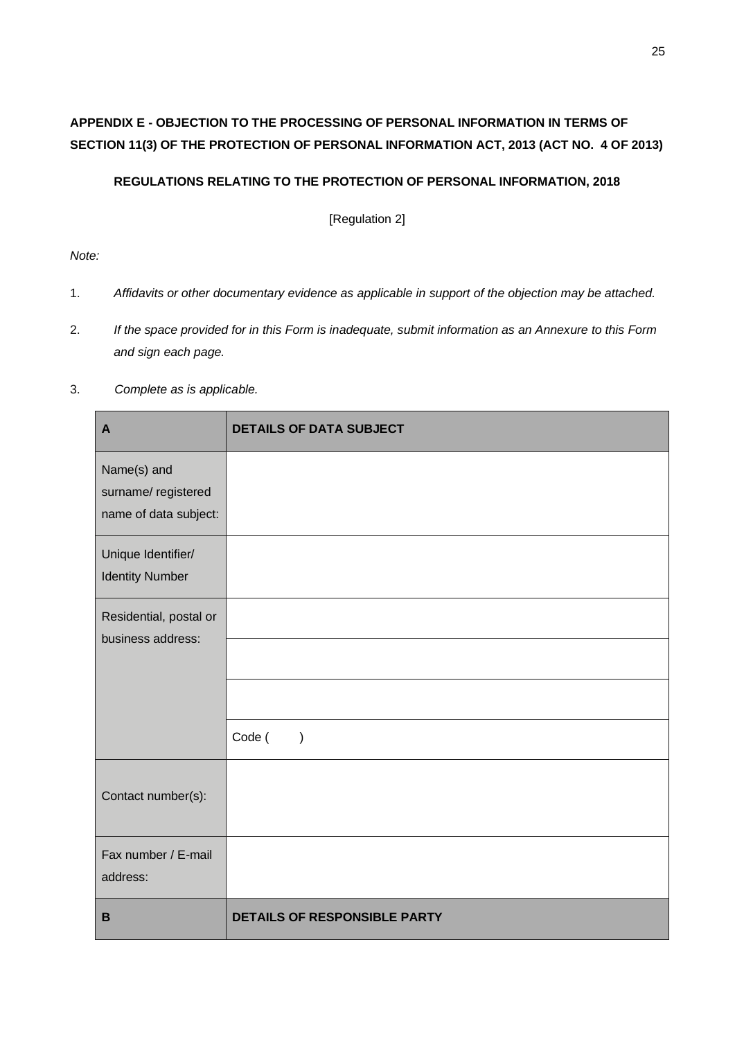# **APPENDIX E - OBJECTION TO THE PROCESSING OF PERSONAL INFORMATION IN TERMS OF SECTION 11(3) OF THE PROTECTION OF PERSONAL INFORMATION ACT, 2013 (ACT NO. 4 OF 2013)**

## **REGULATIONS RELATING TO THE PROTECTION OF PERSONAL INFORMATION, 2018**

[Regulation 2]

*Note:* 

- 1. *Affidavits or other documentary evidence as applicable in support of the objection may be attached.*
- 2. *If the space provided for in this Form is inadequate, submit information as an Annexure to this Form and sign each page.*
- 3. *Complete as is applicable.*

| $\mathbf{A}$                                | <b>DETAILS OF DATA SUBJECT</b>      |
|---------------------------------------------|-------------------------------------|
| Name(s) and                                 |                                     |
| surname/registered<br>name of data subject: |                                     |
| Unique Identifier/                          |                                     |
| <b>Identity Number</b>                      |                                     |
| Residential, postal or                      |                                     |
| business address:                           |                                     |
|                                             |                                     |
|                                             | Code (<br>$\lambda$                 |
| Contact number(s):                          |                                     |
| Fax number / E-mail                         |                                     |
| address:                                    |                                     |
| $\mathbf B$                                 | <b>DETAILS OF RESPONSIBLE PARTY</b> |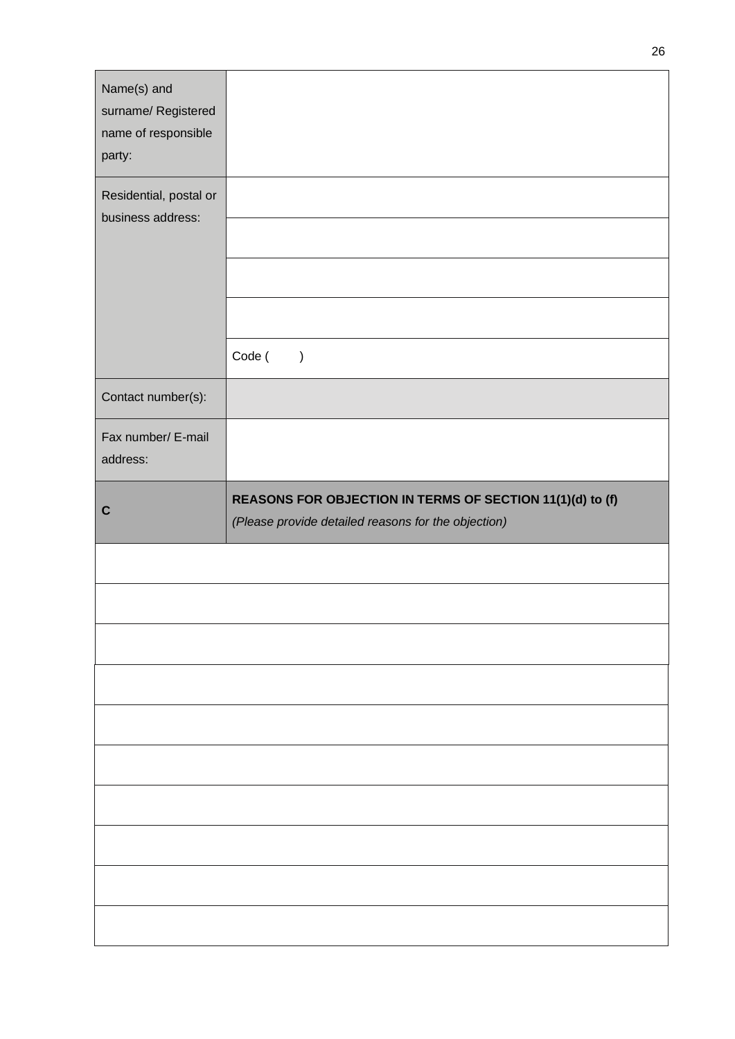| Name(s) and<br>surname/ Registered<br>name of responsible<br>party: |                                                           |
|---------------------------------------------------------------------|-----------------------------------------------------------|
| Residential, postal or<br>business address:                         |                                                           |
|                                                                     |                                                           |
|                                                                     |                                                           |
|                                                                     |                                                           |
|                                                                     | Code (<br>$\mathcal{E}$                                   |
| Contact number(s):                                                  |                                                           |
| Fax number/ E-mail<br>address:                                      |                                                           |
|                                                                     | REASONS FOR OBJECTION IN TERMS OF SECTION 11(1)(d) to (f) |
| $\mathbf C$                                                         | (Please provide detailed reasons for the objection)       |
|                                                                     |                                                           |
|                                                                     |                                                           |
|                                                                     |                                                           |
|                                                                     |                                                           |
|                                                                     |                                                           |
|                                                                     |                                                           |
|                                                                     |                                                           |
|                                                                     |                                                           |
|                                                                     |                                                           |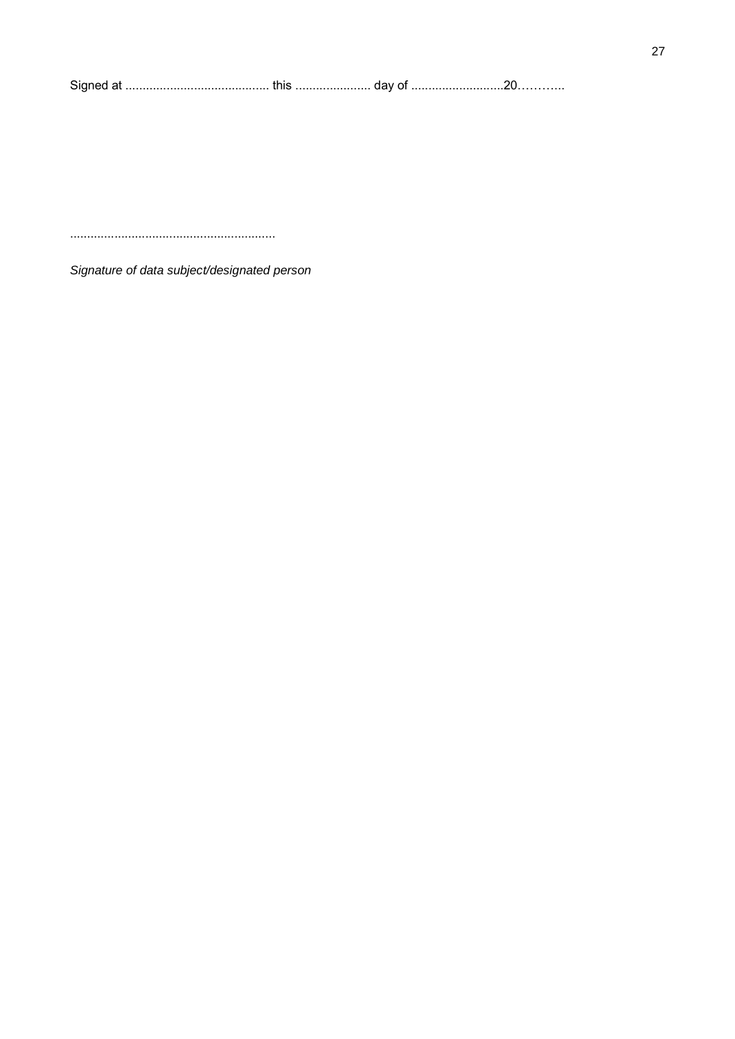| Signe<br>αι ……………………………………… u ιιο …………………… uav ∪ ………………………∠∪………… |  |  |  |
|------------------------------------------------------------------|--|--|--|
|------------------------------------------------------------------|--|--|--|

Signature of data subject/designated person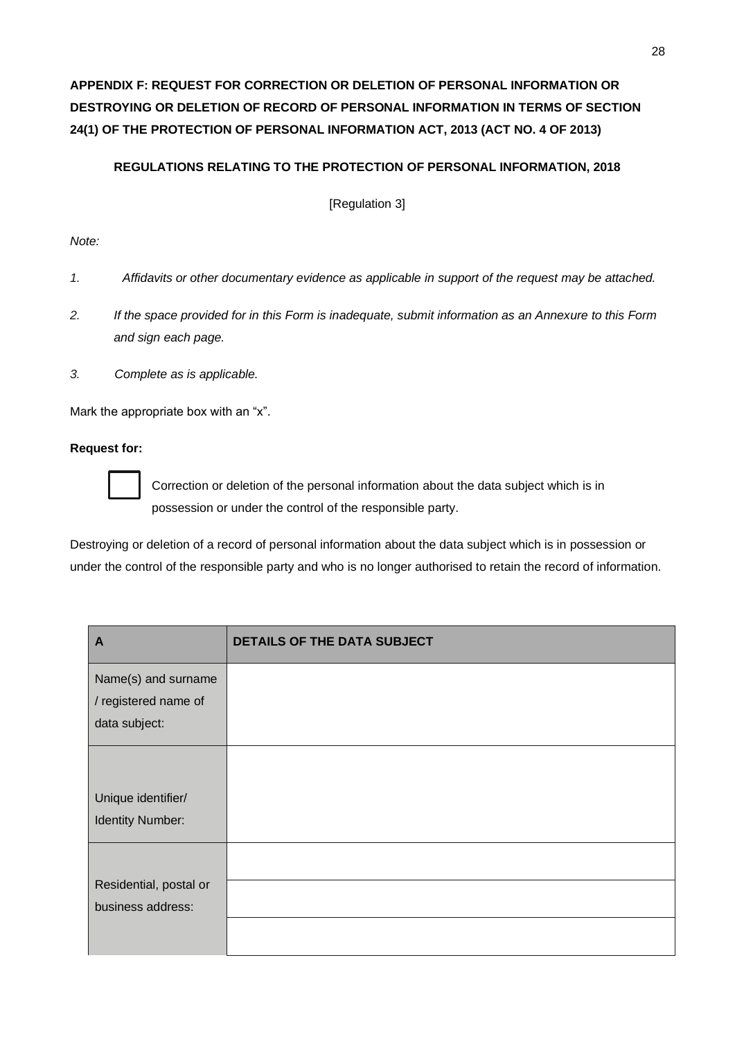# **APPENDIX F: REQUEST FOR CORRECTION OR DELETION OF PERSONAL INFORMATION OR DESTROYING OR DELETION OF RECORD OF PERSONAL INFORMATION IN TERMS OF SECTION 24(1) OF THE PROTECTION OF PERSONAL INFORMATION ACT, 2013 (ACT NO. 4 OF 2013)**

## **REGULATIONS RELATING TO THE PROTECTION OF PERSONAL INFORMATION, 2018**

[Regulation 3]

## *Note:*

- *1. Affidavits or other documentary evidence as applicable in support of the request may be attached.*
- *2. If the space provided for in this Form is inadequate, submit information as an Annexure to this Form and sign each page.*
- *3. Complete as is applicable.*

Mark the appropriate box with an "x".

#### **Request for:**



Correction or deletion of the personal information about the data subject which is in possession or under the control of the responsible party.

Destroying or deletion of a record of personal information about the data subject which is in possession or under the control of the responsible party and who is no longer authorised to retain the record of information.

| A                       | DETAILS OF THE DATA SUBJECT |
|-------------------------|-----------------------------|
| Name(s) and surname     |                             |
| / registered name of    |                             |
| data subject:           |                             |
|                         |                             |
| Unique identifier/      |                             |
| <b>Identity Number:</b> |                             |
|                         |                             |
| Residential, postal or  |                             |
| business address:       |                             |
|                         |                             |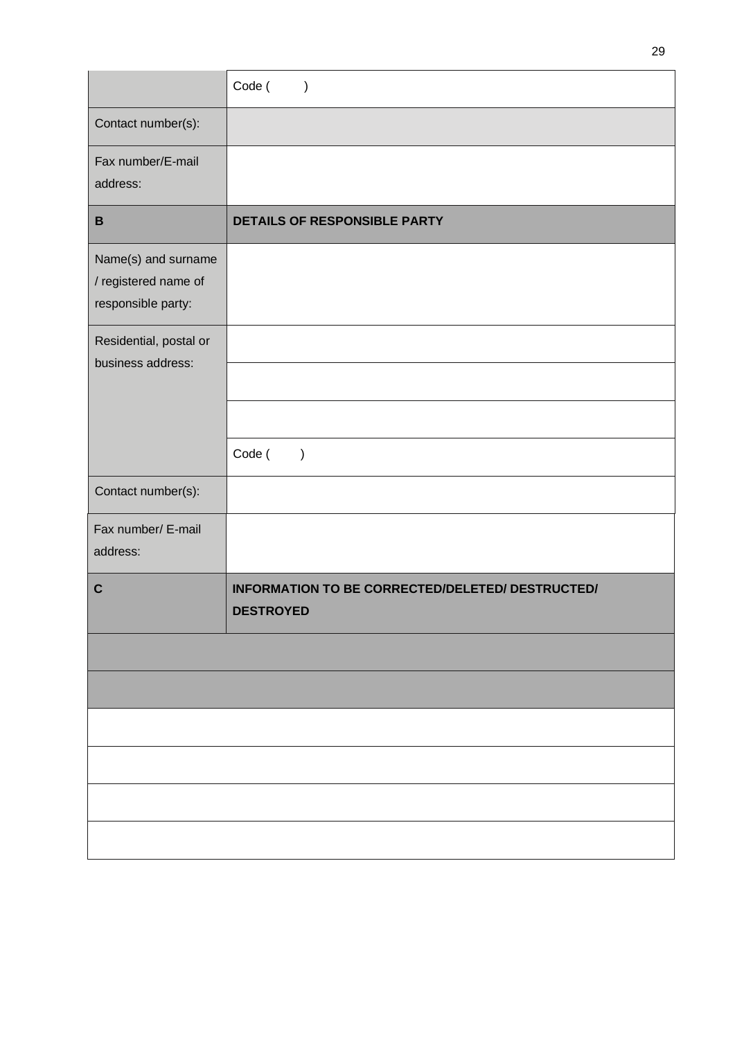|                                                                   | Code (<br>$\lambda$                                                  |
|-------------------------------------------------------------------|----------------------------------------------------------------------|
| Contact number(s):                                                |                                                                      |
| Fax number/E-mail<br>address:                                     |                                                                      |
| $\, {\bf B}$                                                      | DETAILS OF RESPONSIBLE PARTY                                         |
| Name(s) and surname<br>/ registered name of<br>responsible party: |                                                                      |
| Residential, postal or<br>business address:                       |                                                                      |
|                                                                   | Code (<br>$\mathcal{E}$                                              |
| Contact number(s):                                                |                                                                      |
| Fax number/ E-mail<br>address:                                    |                                                                      |
| $\mathbf c$                                                       | INFORMATION TO BE CORRECTED/DELETED/ DESTRUCTED/<br><b>DESTROYED</b> |
|                                                                   |                                                                      |
|                                                                   |                                                                      |
|                                                                   |                                                                      |
|                                                                   |                                                                      |
|                                                                   |                                                                      |
|                                                                   |                                                                      |